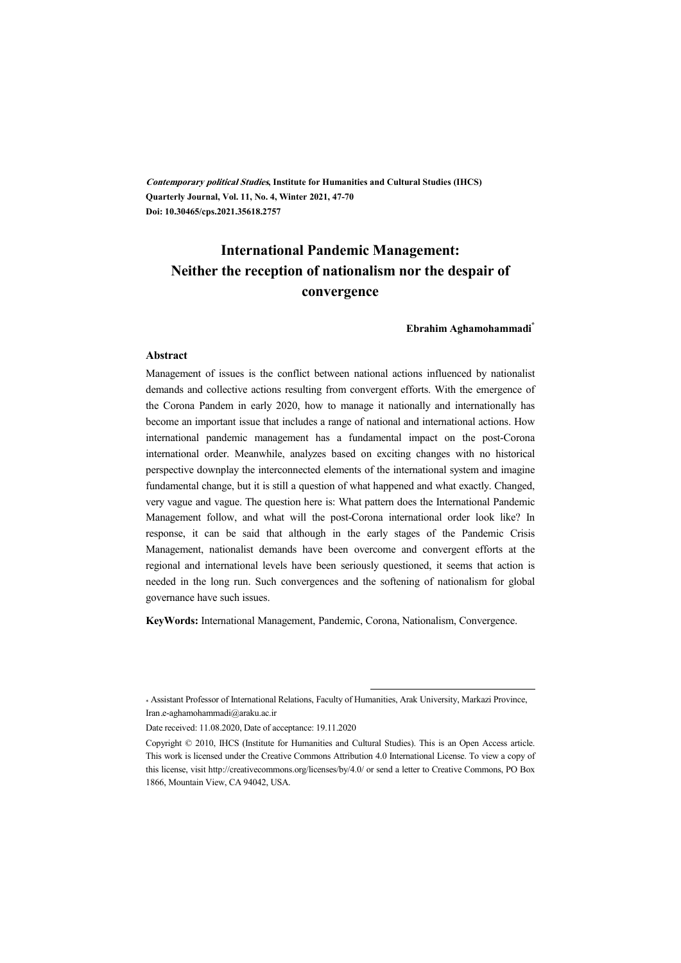**Contemporary political Studies, Institute for Humanities and Cultural Studies (IHCS) Quarterly Journal, Vol. 11, No. 4, Winter 2021, 47-70 Doi: 10.30465/cps.2021.35618.2757**

## **International Pandemic Management: Neither the reception of nationalism nor the despair of convergence**

**Ebrahim Aghamohammadi\***

#### **Abstract**

Management of issues is the conflict between national actions influenced by nationalist demands and collective actions resulting from convergent efforts. With the emergence of the Corona Pandem in early 2020, how to manage it nationally and internationally has become an important issue that includes a range of national and international actions. How international pandemic management has a fundamental impact on the post-Corona international order. Meanwhile, analyzes based on exciting changes with no historical perspective downplay the interconnected elements of the international system and imagine fundamental change, but it is still a question of what happened and what exactly. Changed, very vague and vague. The question here is: What pattern does the International Pandemic Management follow, and what will the post-Corona international order look like? In response, it can be said that although in the early stages of the Pandemic Crisis Management, nationalist demands have been overcome and convergent efforts at the regional and international levels have been seriously questioned, it seems that action is needed in the long run. Such convergences and the softening of nationalism for global governance have such issues.

**KeyWords:** International Management, Pandemic, Corona, Nationalism, Convergence.

:

Date received: 11.08.2020, Date of acceptance: 19.11.2020

<sup>\*</sup> Assistant Professor of International Relations, Faculty of Humanities, Arak University, Markazi Province, Iran.e-aghamohammadi@araku.ac.ir

Copyright © 2010, IHCS (Institute for Humanities and Cultural Studies). This is an Open Access article. This work is licensed under the Creative Commons Attribution 4.0 International License. To view a copy of this license, visit http://creativecommons.org/licenses/by/4.0/ or send a letter to Creative Commons, PO Box 1866, Mountain View, CA 94042, USA.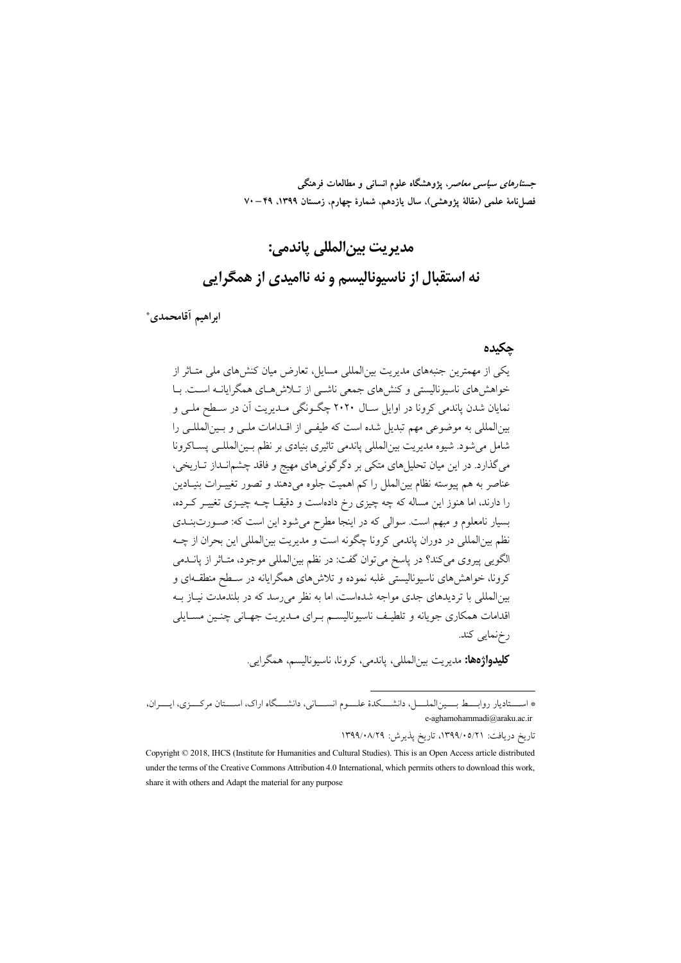جس*تارهای سیاسی معاصر*، پژوهشگاه علوم انسانی و مطالعات فرهنگی فصل نامة علمي (مقالة يژوهشي)، سال يازدهم، شمارة چهارم، زمستان ١٣٩٩، ٢٩–٧٠

# مديريت بين|لمللي ياندمي:

### نه استقبال از ناسیونالیسم و نه ناامیدی از همگرایی

ابراهيم آقامحمدي\*

#### حكىدە

یکی از مهمترین جنبههای مدیریت بین|لمللی مسایل، تعارض میان کنش های ملی متـاثر از خواهشرهای ناسیونالیستی و کنشهای جمعی ناشــی از تــلاش۵حـای همگرایانــه اســت. بــا نمایان شدن پاندمی کرونا در اوایل سـال ۲۰۲۰ چگـونگی مـدیریت آن در سـطح ملـی و بینالمللی به موضوعی مهم تبدیل شده است که طیفی از اقـدامات ملـی و بـینالمللـی را شامل مي شود. شيوه مديريت بين|لمللي ياندمي تاثيري بنيادي بر نظم بـين|لمللـي يســاكرونا میگذارد. در این میان تحلیلهای متکی بر دگرگونیهای مهیج و فاقد چشمانـداز تـاریخی، عناصر به هم پیوسته نظام بین(لملل را کم اهمیت جلوه می دهند و تصور تغییـرات بنیـادین را دارند، اما هنوز این مساله که چه چیزی رخ دادهاست و دقیقـا چــه چیــزی تغییــر کــرده، بسیار نامعلوم و مبھم است. سوالی که در اینجا مطرح می شود این است که: صـورتبنــدی نظم بینالمللی در دوران پاندمی کرونا چگونه است و مدیریت بینالمللی این بحران از چــه الگويي پيروي مي كند؟ در پاسخ مي توان گفت: در نظم بينالمللي موجود، متـاثر از پانــدمي کرونا، خواهشهای ناسیونالیستی غلبه نموده و تلاش۱های همگرایانه در سـطح منطقـهای و بین|لمللی با تردیدهای جدی مواجه شدهاست، اما به نظر می رسد که در بلندمدت نیــاز بــه اقدامات همکاری جویانه و تلطیـف ناسیونالیسـم بـرای مـدیریت جهـانی چنـین مسـایلی رخنمايي كند.

**کليدواژهها:** مديريت بين|لمللي، ياندمي، کرونا، ناسيوناليسم، همگرايي.

تاريخ دريافت: ١٣٩٩/٠٥/٢١، تاريخ پذيرش: ١٣٩٩/٠٨/٢٩

<sup>\*</sup> اســـتادیار روابـــط بـــین|لملــــل، دانشــــکدهٔ علـــوم انســــانی، دانشــــگاه اراک، اســـتان مرکــــزی، ایــــران، e-aghamohammadi@araku.ac.ir

Copyright © 2018, IHCS (Institute for Humanities and Cultural Studies). This is an Open Access article distributed under the terms of the Creative Commons Attribution 4.0 International, which permits others to download this work, share it with others and Adapt the material for any purpose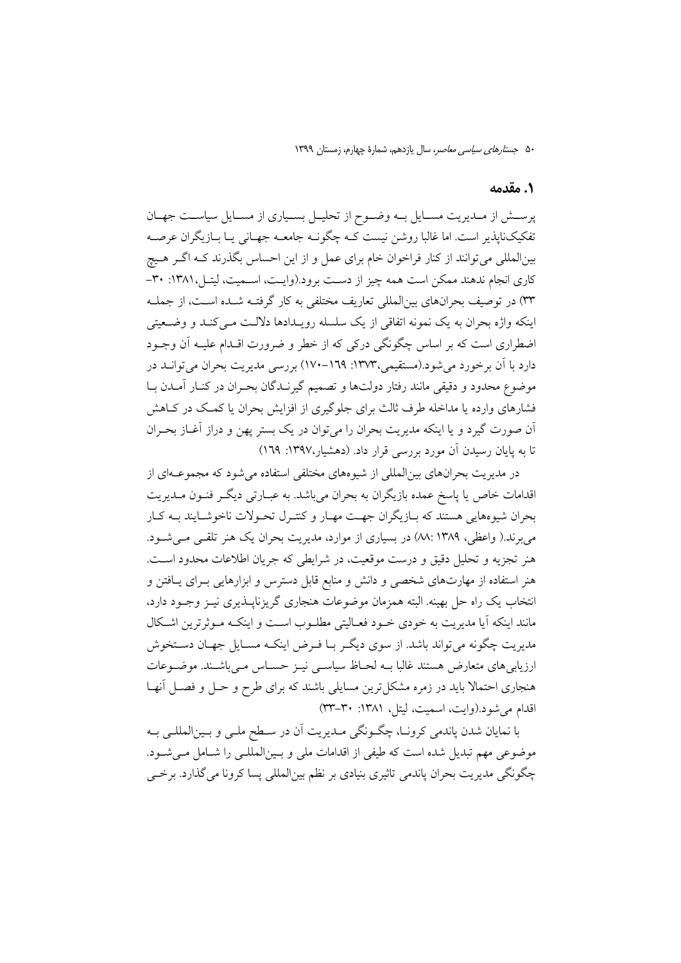#### 1. مقدمه

پرستش از مـديريت مسـايل بـه وضـوح از تحليـل بسـياري از مسـايل سياسـت جهـان تفکیکناپذیر است. اما غالبا روشن نیست کـه چگونــه جامعــه جهــانی یــا بــازیگران عرصــه بینالمللی می توانند از کنار فراخوان خام برای عمل و از این احساس بگذرند کــه اگــر هــیچ کاری انجام ندهند ممکن است همه چیز از دست برود.(وایـت، اســمیت، لیتـل،۱۳۸۱: ۳۰-۳۳) در توصیف بحرانهای بینالمللی تعاریف مختلفی به کار گرفتـه شـده اسـت، از جملـه اینکه واژه بحران به یک نمونه اتفاقی از یک سلسله رویـدادها دلالـت مــی کنـد و وضــعیتی اضطراري است كه بر اساس چگونگي دركي كه از خطر و ضرورت اقــدام عليــه آن وجــود دارد با آن برخورد می شود.(مستقیمی،۱۳۷۳: ۱۹۹–۱۷۰) بررسی مدیریت بحران می توانـد در موضوع محدود و دقیقی مانند رفتار دولتها و تصمیم گیرنـدگان بحـران در کنـار آمـدن بـا فشارهای وارده یا مداخله طرف ثالث برای جلوگیری از افزایش بحران یا کمک در کـاهش آن صورت گیرد و یا اینکه مدیریت بحران را می توان در یک بستر پهن و دراز آغـاز بحـران تا به پایان رسیدن آن مورد بررسی قرار داد. (دهشیار،۱۳۹۷: ۱۲۹)

در مدیریت بحرانهای بین|لمللی از شیوههای مختلفی استفاده می شود که مجموعــهای از اقدامات خاص یا پاسخ عمده بازیگران به بحران میباشد. به عبــارتی دیگــر فنــون مــدیریت بحران شیوههایی هستند که بـازیگران جهـت مهـار و کنتـرل تحـولات ناخوشـایند بـه کـار می برند.( واعظی، ۱۳۸۹ :۸۸) در بسیاری از موارد، مدیریت بحران یک هنر تلقبی مـی شـود. هنر تجزیه و تحلیل دقیق و درست موقعیت، در شرایطی که جریان اطلاعات محدود است. هنر استفاده از مهارتهای شخصی و دانش و منابع قابل دسترس و ابزارهایی بـرای پـافتن و انتخاب یک راه حل بهینه. البته همزمان موضوعات هنجاری گریزناپــذیری نیــز وجــود دارد، مانند اینکه آیا مدیریت به خودی خـود فعـالیتی مطلـوب اسـت و اینکـه مـوثرترین اشـکال مدیریت چگونه می تواند باشد. از سوی دیگر بـا فـرض اینکـه مسـایل جهـان دسـتخوش ارزیابیهای متعارض هستند غالبا بـه لحـاظ سیاسـی نیـز حسـاس مـیباشـند. موضـوعات هنجاری احتمالا باید در زمره مشکل ترین مسایلی باشند که برای طرح و حـل و فصـل آنهـا اقدام می شود.(وایت، اسمیت، لیتل، ۱۳۸۱: ۳۰-۴۳)

با نمایان شدن پاندمی کرونـا، چگـونگی مـدیریت اَن در سـطح ملـی و بـینالمللـی بــه موضوعی مهم تبدیل شده است که طیفی از اقدامات ملی و بـینالمللـی را شـامل مـیشـود. چگونگی مدیریت بحران پاندمی تاثیری بنیادی بر نظم بینالمللی پسا کرونا میگذارد. برخمی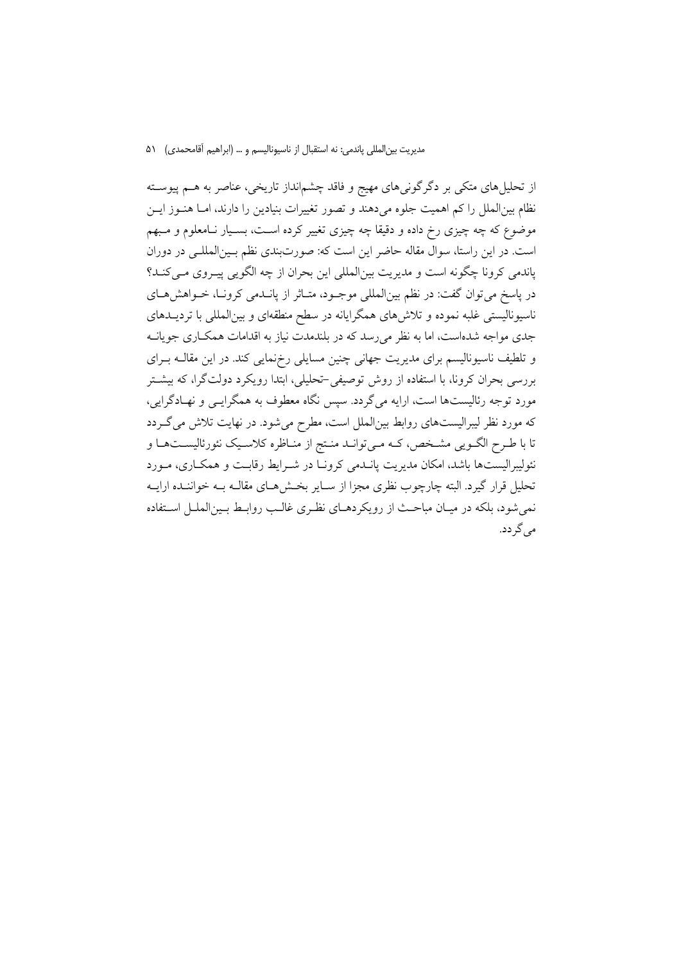از تحلیلهای متکی بر دگرگونیهای مهیج و فاقد چشمانداز تاریخی، عناصر به هــم پیوســته نظام بینالملل را کم اهمیت جلوه میدهند و تصور تغییرات بنیادین را دارند، امـا هنــوز ایــن موضوع که چه چیزی رخ داده و دقیقا چه چیزی تغییر کرده اسـت، بسـیار نـامعلوم و مـبهم است. در این راستا، سوال مقاله حاضر این است که: صورتبندی نظم بـینالمللـی در دوران یاندمی کرونا چگونه است و مدیریت بینالمللی این بحران از چه الگویی پیـروی مـی کنـد؟ در پاسخ می توان گفت: در نظم بین|لمللی موجـود، متـاثر از پانــدمی کرونــا، خــواهش هــای ناسیونالیستی غلبه نموده و تلاش۵های همگرایانه در سطح منطقهای و بینالمللی با تردیــدهای جدی مواجه شدهاست، اما به نظر می رسد که در بلندمدت نیاز به اقدامات همکـاری جویانــه و تلطیف ناسیونالیسم برای مدیریت جهانی چنین مسایلی رخ،نمایی کند. در این مقالــه بــرای بررسی بحران کرونا، با استفاده از روش توصیفی-تحلیلی، ابتدا رویکرد دولتگرا، که بیشتر مورد توجه رئالیستها است، ارایه میگردد. سپس نگاه معطوف به همگرایــی و نهـادگرایی، که مورد نظر لیبرالیستهای روابط بینالملل است، مطرح می شود. در نهایت تلاش می گـردد تا با طرح الگـویی مشـخص، کـه مـیتوانـد منـتج از منـاظره کلاسـیک نئورئالیسـتهـا و نئولیبرالیستها باشد، امکان مدیریت پانــدمی کرونــا در شــرایط رقابــت و همکــاری، مــورد تحلیل قرار گیرد. البته چارچوب نظری مجزا از سـایر بخـش۵هـای مقالـه بــه خواننــده ارایــه نمی شود، بلکه در میـان مباحـث از رویکردهـای نظـری غالـب روابـط بـین|لملـل اسـتفاده می گر دد.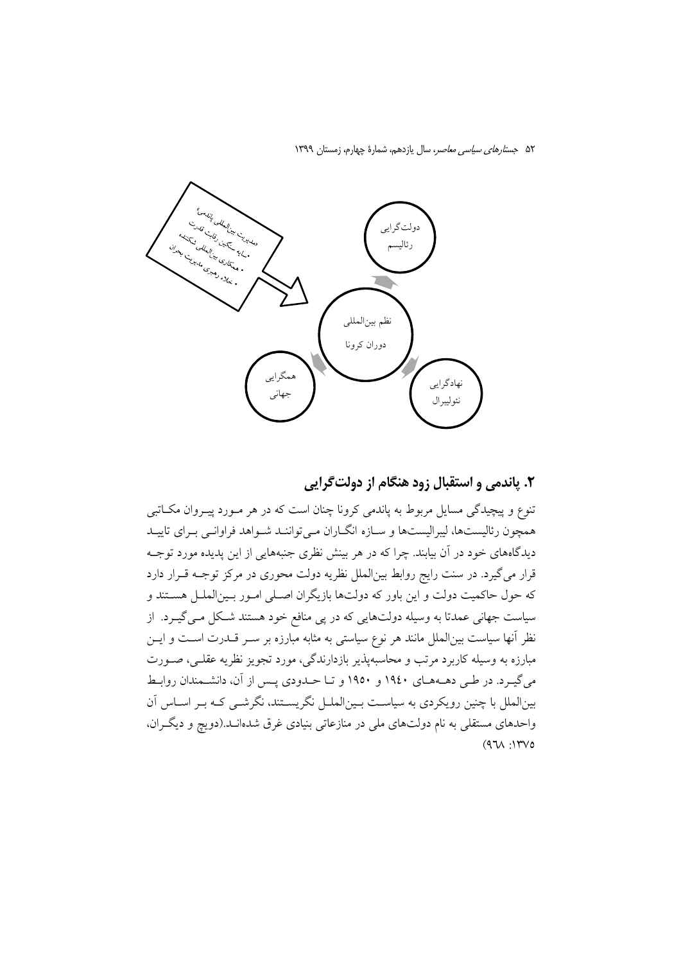

#### ۲. پاندمي و استقبال زود هنگام از دولت گرايي

۔<br>تنوع و پیچیدگی مسایل مربوط به پاندمی کرونا چنان است که در هر مـورد پیـروان مکــاتبی همچون رئالیستها، لیبرالیستها و سـازه انگــاران مــی تواننــد شــواهد فراوانــی بــرای تاییــد دیدگاههای خود در آن بیابند. چرا که در هر بینش نظری جنبههایی از این پدیده مورد توجــه قرار مي گيرد. در سنت رايج روابط بينالملل نظريه دولت محوري در مركز توجـه قـرار دارد که حول حاکمیت دولت و این باور که دولتها بازیگران اصـلی امـور بـینالملـل هسـتند و سیاست جهانی عمدتا به وسیله دولتهایی که در پی منافع خود هستند شکل مـی گیــرد. از نظر آنها سیاست بینالملل مانند هر نوع سیاستی به مثابه مبارزه بر سـر قــدرت اسـت و ایــن مبارزه به وسیله کاربرد مرتب و محاسبهپذیر بازدارندگی، مورد تجویز نظریه عقلـی، صـورت می گیـرد. در طـی دهـههـای ۱۹٤۰ و ۱۹٥۰ و تـا حـدودی پـس از آن، دانشـمندان روابـط بینالملل با چنین رویکردی به سیاست بـینالملـل نگریسـتند، نگرشـی کـه بـر اسـاس آن واحدهای مستقلی به نام دولتهای ملی در منازعاتی بنیادی غرق شدهانـد.(دویچ و دیگـران،  $(971)$ :  $1700$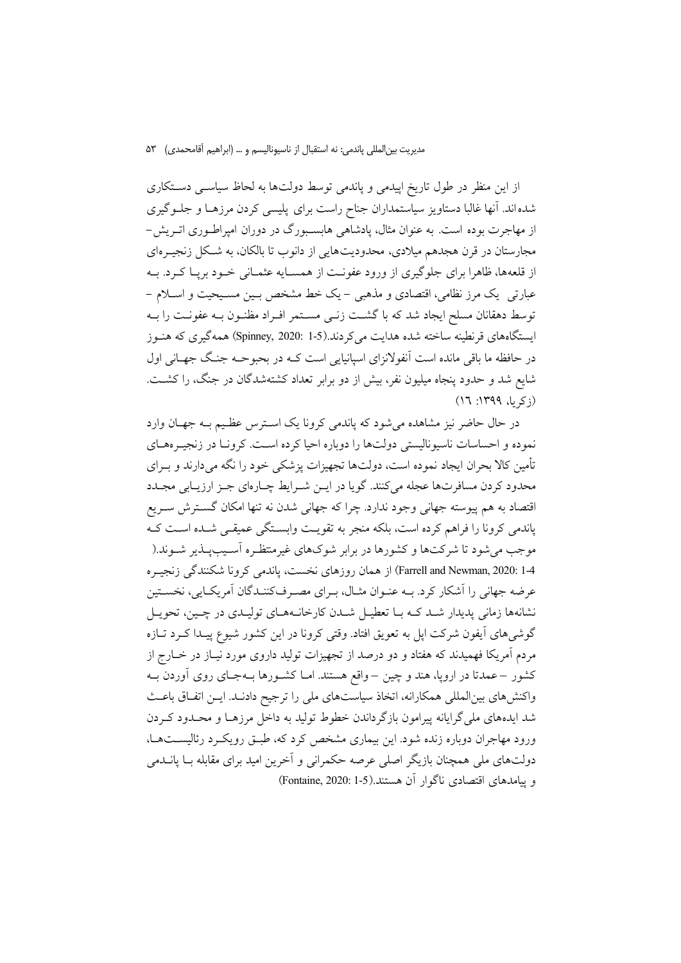از این منظر در طول تاریخ اپیدمی و پاندمی توسط دولتها به لحاظ سیاســی دســتکاری شده اند. آنها غالبا دستاویز سیاستمداران جناح راست برای پلیسی کردن مرزهـا و جلـوگیری از مهاجرت بوده است. به عنوان مثال، پادشاهی هابسـبورگ در دوران امپراطـوری اتـریش− مجارستان در قرن هجدهم میلادی، محدودیتهایی از دانوب تا بالکان، به شـکل زنجیــرهای از قلعهها، ظاهرا برای جلوگیری از ورود عفونـت از همسـایه عثمـانی خــود بریـا کــرد. بــه عبارتی یک مرز نظامی، اقتصادی و مذهبی – یک خط مشخص بسین مسـیحیت و اســلام – توسط دهقانان مسلح ایجاد شد که با گشـت زنـی مسـتمر افـراد مظنـون بــه عفونــت را بــه ایستگاههای قرنطینه ساخته شده هدایت می کردند.(Spinney, 2020: 1-5) همه گیری که هنـوز در حافظه ما باقی مانده است آنفولانزای اسپانیایی است کـه در بحبوحـه جنـگ جهــانی اول شایع شد و حدود پنجاه میلیون نفر، بیش از دو برابر تعداد کشتهشدگان در جنگ، را کشـت.  $(17:1199.45)$ 

در حال حاضر نیز مشاهده می شود که پاندمی کرونا یک استرس عظیم بـه جهـان وارد نموده و احساسات ناسیونالیستی دولتها را دوباره احیا کرده است. کرونـا در زنجیـرههـای تأمین کالا بحران ایجاد نموده است، دولتها تجهیزات پزشکی خود را نگه میدارند و بــرای محدود کردن مسافرتها عجله مي کنند. گويا در ايــن شــرايط چــارهاي جــز ارزيــابي مجــدد اقتصاد به هم پیوسته جهانی وجود ندارد. چرا که جهانی شدن نه تنها امکان گسترش سـریع یاندمی کرونا را فراهم کرده است، بلکه منجر به تقویت وابستگی عمیقی شـده اسـت کـه موجب میشود تا شرکتها و کشورها در برابر شوکهای غیرمنتظـره آسـیبپــذیر شــوند.( 4-1 :Farrell and Newman, 2020) از همان روزهای نخست، پاندمی کرونا شکنندگی زنجیـره عرضه جهانی را اَشکار کرد. بـه عنـوان مثـال، بـرای مصـرفکننـدگان اَمریکـایی، نخسـتین نشانهها زمانی پدیدار شـد کـه بـا تعطیـل شـدن کارخانـههـای تولیـدی در چـین، تحویـل گوشیهای آیفون شرکت اپل به تعویق افتاد. وقتی کرونا در این کشور شیوع پیـدا کــرد تــازه مردم آمریکا فهمیدند که هفتاد و دو درصد از تجهیزات تولید داروی مورد نیـاز در خــارج از کشور –عمدتا در اروپا، هند و چین – واقع هستند. امـا کشـورها بــهجـای روی آوردن بــه واکنشهای بینالمللی همکارانه، اتخاذ سیاستهای ملی را ترجیح دادنـد. ایــن اتفـاق باعـث شد ایدههای ملی گرایانه پیرامون بازگرداندن خطوط تولید به داخل مرزهـا و محـدود کـردن ورود مهاجران دوباره زنده شود. این بیماری مشخص کرد که، طبـق رویکـرد رئالیسـتهـا، دولتهای ملی همچنان بازیگر اصلی عرصه حکمرانی و اَخرین امید برای مقابله بــا پانــدمی و يبامدهاي اقتصادي ناگوار آن هستند.(5-1 :Fontaine, 2020)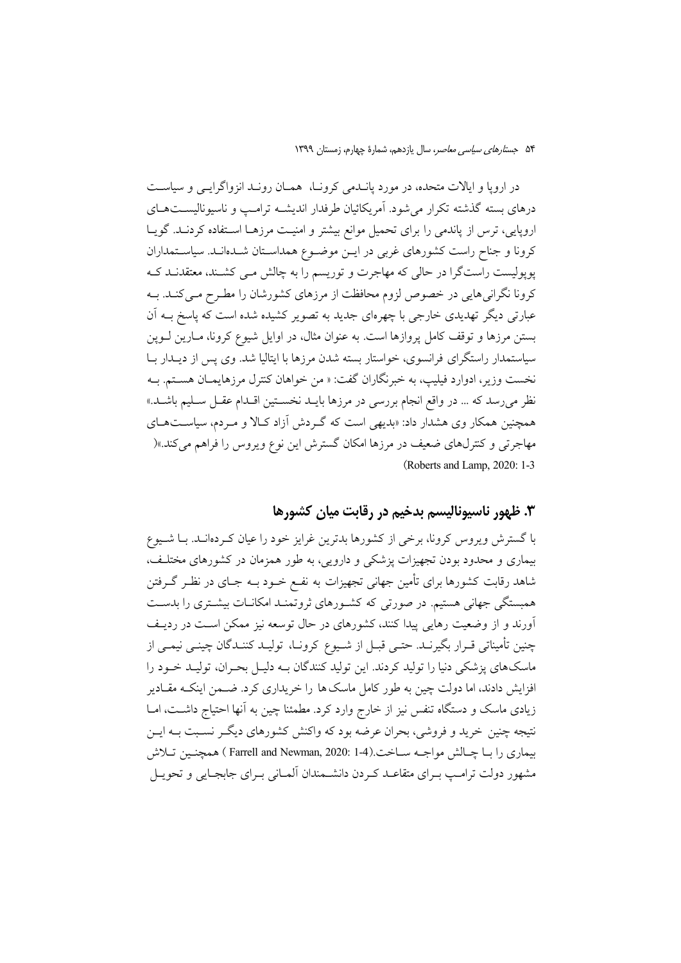در اروپا و ایالات متحده، در مورد پانـدمی کرونـا، همـان رونـد انزواگرایـی و سیاسـت درهای بسته گذشته تکرار می شود. آمریکائیان طرفدار اندیشــه ترامــب و ناسیونالیســتهــای اروپایی، ترس از پاندمی را برای تحمیل موانع بیشتر و امنیت مرزهـا اســتفاده کردنــد. گویــا کرونا و جناح راست کشورهای غربی در ایـن موضـوع همداسـتان شـدهانـد. سیاسـتمداران پوپولیست راستگرا در حالی که مهاجرت و توریسم را به چالش مـی کشـند، معتقدنـد کـه کرونا نگرانی هایی در خصوص لزوم محافظت از مرزهای کشورشان را مطـرح مـی کنـد. بـه عبارتی دیگر تهدیدی خارجی با چهرهای جدید به تصویر کشیده شده است که پاسخ بــه اَن بستن مرزها و توقف کامل پروازها است. به عنوان مثال، در اوایل شیوع کرونا، مـارین لــوپن سیاستمدار راستگرای فرانسوی، خواستار بسته شدن مرزها با ایتالیا شد. وی پس از دیــدار بــا نخست وزير، ادوارد فيليب، به خبرنگاران گفت: « من خواهان كنترل مرزهايمـان هسـتم. بــه نظر میرسد که … در واقع انجام بررسی در مرزها بایــد نخســتین اقــدام عقــل ســلیم باشــد.» همچنین همکار وی هشدار داد: «بدیهی است که گـردش آزاد کـالا و مـردم، سیاسـتهـای مهاجرتی و کنترلهای ضعیف در مرزها امکان گسترش این نوع ویروس را فراهم میکند.»( (Roberts and Lamp, 2020: 1-3)

### ۴. ظهور ناسیونالیسم بدخیم در رقابت میان کشورها

با گسترش ویروس کرونا، برخی از کشورها بدترین غرایز خود را عیان کـردهانـد. بـا شـیوع بیماری و محدود بودن تجهیزات پزشکی و دارویی، به طور همزمان در کشورهای مختلف، شاهد رقابت کشورها برای تأمین جهانی تجهیزات به نفـع خــود بــه جــای در نظــر گــرفتن همبستگی جهانی هستیم. در صورتی که کشـورهای ثروتمنـد امکانـات بیشـتری را بدسـت آورند و از وضعیت رهایی پیدا کنند، کشورهای در حال توسعه نیز ممکن است در ردیـف چنین تأمیناتی قـرار بگیرنــد. حتــی قبــل از شــیوع کرونــا، تولیــد کننــدگان چینــی نیمــی از ماسکهای پزشکی دنیا را تولید کردند. این تولید کنندگان بـه دلیـل بحـران، تولیـد خـود را افزایش دادند، اما دولت چین به طور کامل ماسک ها را خریداری کرد. ضــمن اینکــه مقــادیر زیادی ماسک و دستگاه تنفس نیز از خارج وارد کرد. مطمئنا چین به آنها احتیاج داشت، امـا نتیجه چنین خرید و فروشی، بحران عرضه بود که واکنش کشورهای دیگـر نسـبت بـه ایـن بيماري را بــا چــالش مواجــه ســاخت.(1-1 :2020 Farrell and Newman, 2020 ) همچنـين تــلاش مشهور دولت ترامب بـراي متقاعـد كـردن دانشـمندان ألمـاني بـراي جابجـايي و تحويـل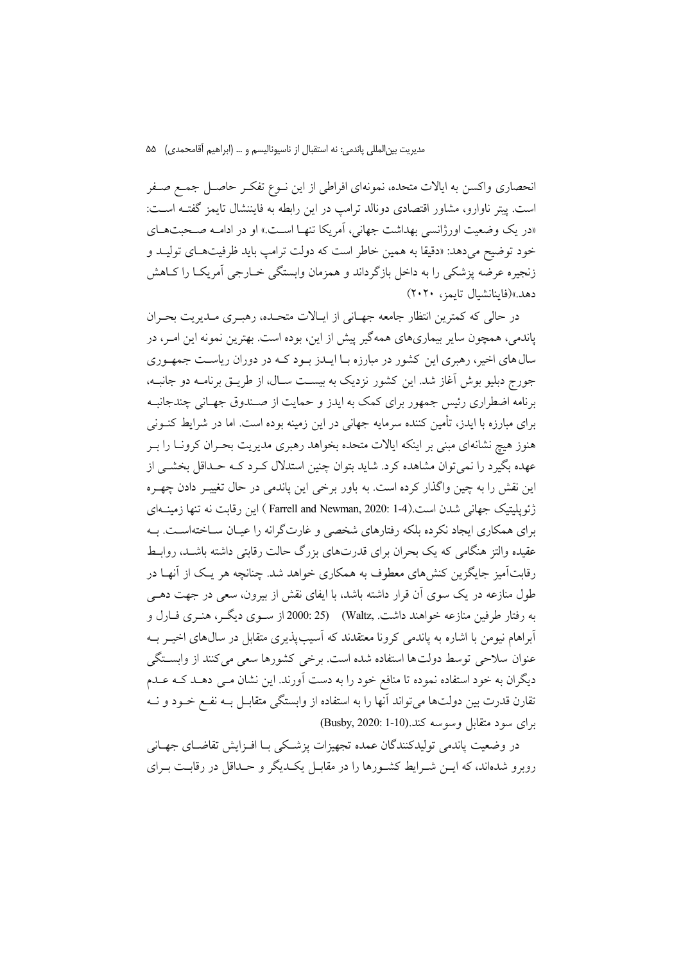انحصاري واكسن به ايالات متحده، نمونهاي افراطي از اين نــوع تفكــر حاصــل جمــع صــفر است. پیتر ناوارو، مشاور اقتصادی دونالد ترامپ در این رابطه به فایننشال تایمز گفتـه اسـت: «در یک وضعیت اورژانسی بهداشت جهانی، آمریکا تنهـا اسـت.» او در ادامـه صـحبتهـای خود توضيح مي<هد: «دقيقا به همين خاطر است كه دولت ترامب بايد ظرفيتهـاي توليــد و زنجیره عرضه پزشکی را به داخل بازگرداند و همزمان وابستگی خــارجی اَمریکــا را کــاهش دهد.»(فاينانشيال تايمز، ٢٠٢٠)

در حالي كه كمترين انتظار جامعه جهـاني از ايـالات متحـده، رهبـري مـديريت بحـران یاندمی، همچون سایر بیماریهای همهگیر پیش از این، بوده است. بهترین نمونه این امـر، در سال های اخیر، رهبری این کشور در مبارزه بـا ایــدز بــود کــه در دوران ریاسـت جمهـوری جورج دبلیو بوش آغاز شد. این کشور نزدیک به بیست سـال، از طریــق برنامــه دو جانبــه، برنامه اضطراری رئیس جمهور برای کمک به ایدز و حمایت از صـندوق جهـانی چندجانبـه برای مبارزه با ایدز، تأمین کننده سرمایه جهانی در این زمینه بوده است. اما در شرایط کنــونی هنوز هیچ نشانهای مبنی بر اینکه ایالات متحده بخواهد رهبری مدیریت بحـران کرونــا را بــر عهده بگیرد را نمیتوان مشاهده کرد. شاید بتوان چنین استدلال کـرد کـه حـداقل بخشــی از این نقش را به چین واگذار کرده است. به باور برخی این پاندمی در حال تغییـر دادن چهـره ژئویلیتیک جهانی شدن است.(1-1 :Farrell and Newman, 2020 ) این رقابت نه تنها زمینـهای برای همکاری ایجاد نکرده بلکه رفتارهای شخصی و غارتگرانه را عیـان سـاختهاسـت. بــه عقیده والتز هنگامی که یک بحران برای قدرتهای بزرگ حالت رقابتی داشته باشـد، روابـط رقابتآمیز جایگزین کنش های معطوف به همکاری خواهد شد. چنانچه هر یـک از آنهـا در طول منازعه در یک سوی آن قرار داشته باشد، با ایفای نقش از بیرون، سعی در جهت دهـی به رفتار طرفین منازعه خواهند داشت. Waltz) (25 :000 از سـوی دیگـر، هنـری فــارل و آبراهام نیومن با اشاره به یاندمی کرونا معتقدند که آسیبپذیری متقابل در سال@ای اخیــر بــه عنوان سلاحی توسط دولتها استفاده شده است. برخی کشورها سعی میکنند از وابستگی دیگران به خود استفاده نموده تا منافع خود را به دست آورند. این نشان مـی دهــد کــه عــدم تقارن قدرت بین دولتها می تواند آنها را به استفاده از وابستگی متقابـل بـه نفـع خـود و نــه برای سود متقابل وسوسه کند.(10-1 Busby, 2020)

در وضعيت ياندمي توليدكنندگان عمده تجهيزات يزشكي بـا افــزايش تقاضــاي جهــاني روبرو شدهاند، که ایــن شــرایط کشــورها را در مقابــل یکــدیگر و حــداقل در رقابــت بــرای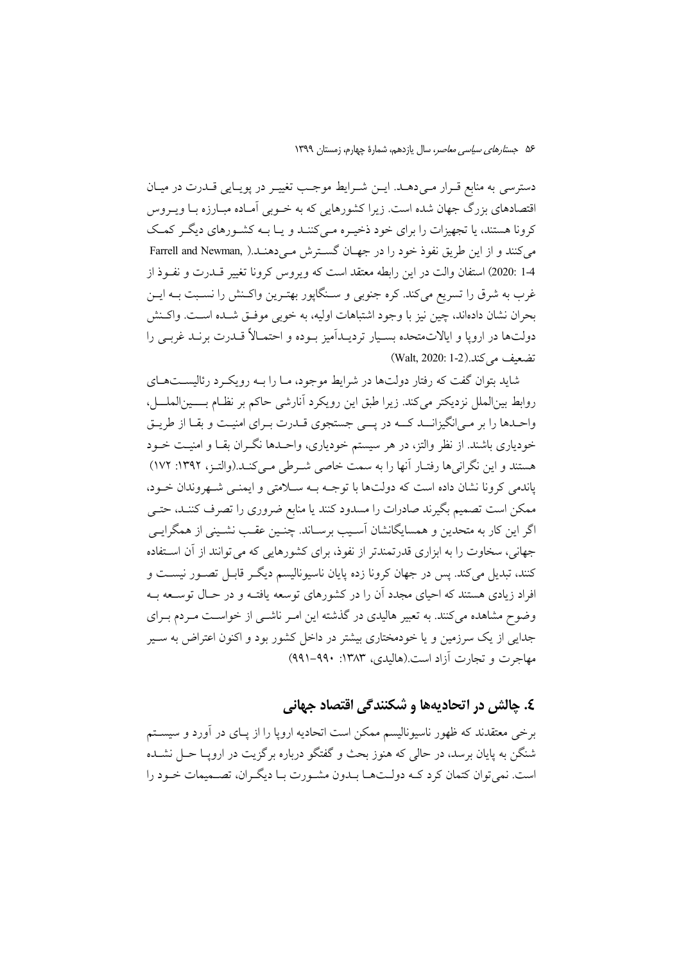دسترسی به منابع قـرار مـی۵هـــد. ایــن شــرایط موجـب تغییــر در پویــایی قــدرت در میــان اقتصادهای بزرگ جهان شده است. زیرا کشورهایی که به خـوبی آمـاده مبـارزه بـا ویــروس کرونا هستند، یا تجهیزات را برای خود ذخیـره مـی کننـد و یـا بـه کشـورهای دیگـر کمـک مي كنند و از اين طريق نفوذ خود را در جهـان گسـترش مـي دهنـد.( Farrell and Newman, 1-4 :2020) استفان والت در اين رابطه معتقد است كه ويووس كرونا تغيير قــدرت و نفــوذ از غرب به شرق را تسریع میکند. کره جنوبی و سـنگاپور بهتـرین واکـنش را نسـبت بــه ایــن بحران نشان دادهاند، چین نیز با وجود اشتباهات اولیه، به خوبی موفـق شـده اسـت. واكـنش دولتها در اروپا و ایالاتمتحده بسـیار تردیـداَمیز بـوده و احتمـالاً قـدرت برنـد غربـی را تضعيف مي كند.(Walt, 2020: 1-2)

شاید بتوان گفت که رفتار دولتها در شرایط موجود، مـا را بـه رویکـرد رئالیســتهـای روابط بینالملل نزدیکتر میکند. زیرا طبق این رویکرد آنارشی حاکم بر نظـام بــــینالملـــل، واحـدها را بر مـی|نگیزانــد کــه در پـــی جستجوی قــدرت بــرای امنیـت و بقــا از طریــق خودیاری باشند. از نظر والتز، در هر سیستم خودیاری، واحـدها نگـران بقـا و امنیـت خــود هستند و این نگرانیها رفتـار آنها را به سمت خاصی شـرطی مـیکنـد.(والتـز، ۱۳۹۲: ۱۷۲) پاندمی کرونا نشان داده است که دولتها با توجـه بـه سـلامتی و ایمنـی شـهروندان خـود، ممکن است تصمیم بگیرند صادرات را مسدود کنند یا منابع ضروری را تصرف کننـد، حتـی اگر این کار به متحدین و همسایگانشان آسـیب برسـاند. چنـین عقـب نشـینی از همگرایـی جهانی، سخاوت را به ابزاری قدرتمندتر از نفوذ، برای کشورهایی که می توانند از آن استفاده کنند، تبدیل می کند. پس در جهان کرونا زده پایان ناسبونالیسم دیگیر قابیل تصبور نیست و افراد زیادی هستند که احیای مجدد آن را در کشورهای توسعه بافتـه و در حـال توسـعه بـه وضوح مشاهده میکنند. به تعبیر هالیدی در گذشته این امـر ناشـی از خواسـت مـردم بـرای جدایی از یک سرزمین و یا خودمختاری بیشتر در داخل کشور بود و اکنون اعتراض به سـیر مهاجرت و تجارت آزاد است.(هالبدی، ۱۳۸۳: ۹۹۰–۹۹۱)

#### ٤. چالش در اتحادیهها و شکنندگی اقتصاد جهانی

برخی معتقدند که ظهور ناسیونالیسم ممکن است اتحادیه اروپا را از یـای در آورد و سیســتم شنگن به پایان برسد، در حالی که هنوز بحث و گفتگو درباره برگزیت در ارویــا حــل نشــده است. نمي توان كتمان كرد كـه دولـتهـا بـدون مشـورت بـا ديگـران، تصـميمات خـود را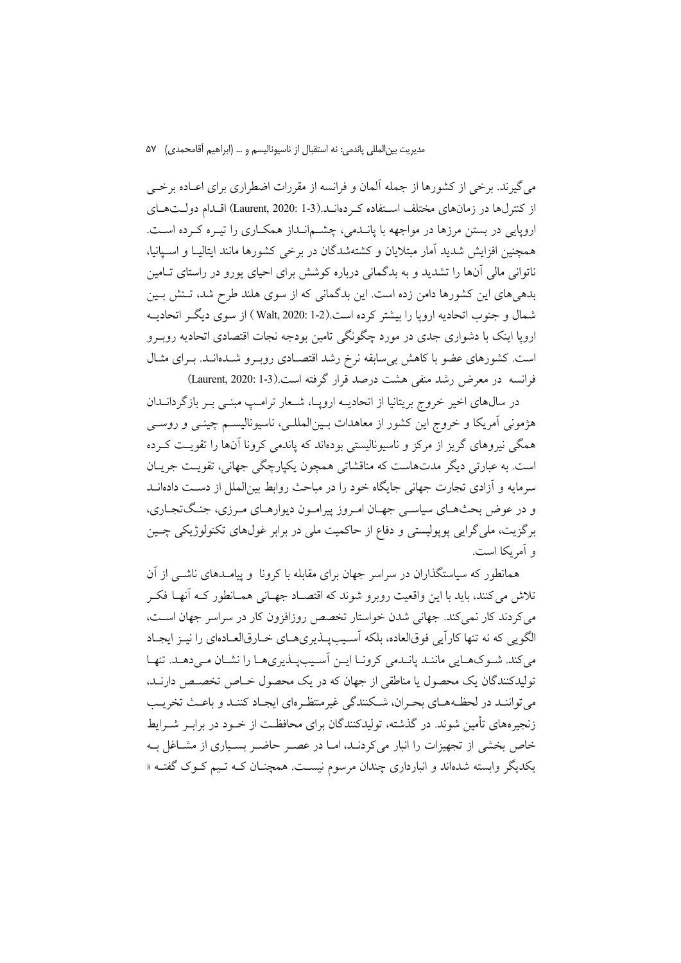مديريت بين|لمللي ياندمي: نه استقبال از ناسيوناليسم و … (ابراهيم آقامحمدي) ۵۷

می گیرند. برخی از کشورها از جمله آلمان و فرانسه از مقررات اضطراری برای اعـاده برخــی از کنترلها در زمانهای مختلف استفاده که دهانـد.(Laurent, 2020: 1-3) اقـدام دولـتهـای اروپایی در بستن مرزها در مواجهه با پانـدمی، چشـمانـداز همکـاری را تیـره کـرده اسـت. همچنین افزایش شدید آمار مبتلایان و کشتهشدگان در برخی کشورها مانند ایتالیـا و اسـیانیا، ناتوانی مالی آنها را تشدید و به بدگمانی درباره کوشش برای احیای یورو در راستای تـامین بدهیهای این کشورها دامن زده است. این بدگمانی که از سوی هلند طرح شد، تـنش بـین شمال و جنوب اتحادیه اروپا را بیشتر کرده است.(Walt, 2020: 1-2) از سوی دیگر اتحادیــه اروپا اینک با دشواری جدی در مورد چگونگی تامین بودجه نجات اقتصادی اتحادیه روب و است. کشورهای عضو با کاهش بی سابقه نرخ رشد اقتصـادی روبـرو شــدهانــد. بــرای مثــال فرانسه در معرض رشد منفى هشت درصد قرار گرفته است.(3-1 Laurent, 2020: 1)

در سالهای اخیر خروج بریتانیا از اتحادیــه اروپــا، شــعار ترامــپ مبنــی بــر بازگردانــدان هژمونی آمریکا و خروج این کشور از معاهدات بـینالمللـی، ناسیونالیسـم چینـی و روسـی همگی نیروهای گریز از مرکز و ناسیونالیستی بودهاند که یاندمی کرونا آنها را تقویت کـرده است. به عبارتی دیگر مدتهاست که مناقشاتی همچون یکپارچگی جهانی، تقویت جریـان سرمایه و آزادی تجارت جهانی جایگاه خود را در مباحث روابط بینالملل از دست دادهانــد و در عوض بحثهـاي سياسـي جهـان امـروز پيرامـون ديوارهـاي مـرزي، جنـگتجـاري، برگزیت، ملی گرایی پوپولیستی و دفاع از حاکمیت ملی در برابر غولهای تکنولوژیکی چـین و آمریکا است.

همانطور که سیاستگذاران در سراسر جهان برای مقابله با کرونا و پیامـدهای ناشـبی از آن تلاش می کنند، باید با این واقعیت روبرو شوند که اقتصـاد جهـانی همـانطور کــه آنهـا فکــر می کردند کار نمی کند. جهانی شدن خواستار تخصص روزافزون کار در سراسر جهان است، الگویی که نه تنها کاراًیی فوق|لعاده، بلکه آسیبیلذیریهـای خـارق|لعـادهای را نیـز ایجـاد می کند. شـوکهـایی ماننـد پانـدمی کرونـا ایـن آسـیبپـذیریهـا را نشـان مـیدهـد. تنهـا تولیدکنندگان یک محصول یا مناطقی از جهان که در یک محصول خـاص تخصـص دارنـد. می تواننـد در لحظـههـای بحـران، شـكنندگی غیرمنتظـرمای ایجـاد كننـد و باعـث تخریـب زنجیرههای تأمین شوند. در گذشته، تولیدکنندگان برای محافظـت از خـود در برابـر شــرایط خاص بخشی از تجهیزات را انبار می کردنـد، امـا در عصـر حاضـر بسـیاری از مشـاغل بـه یکدیگر وابسته شدهاند و انبارداری چندان مرسوم نیست. همچنـان کـه تـیم کـوک گفتـه «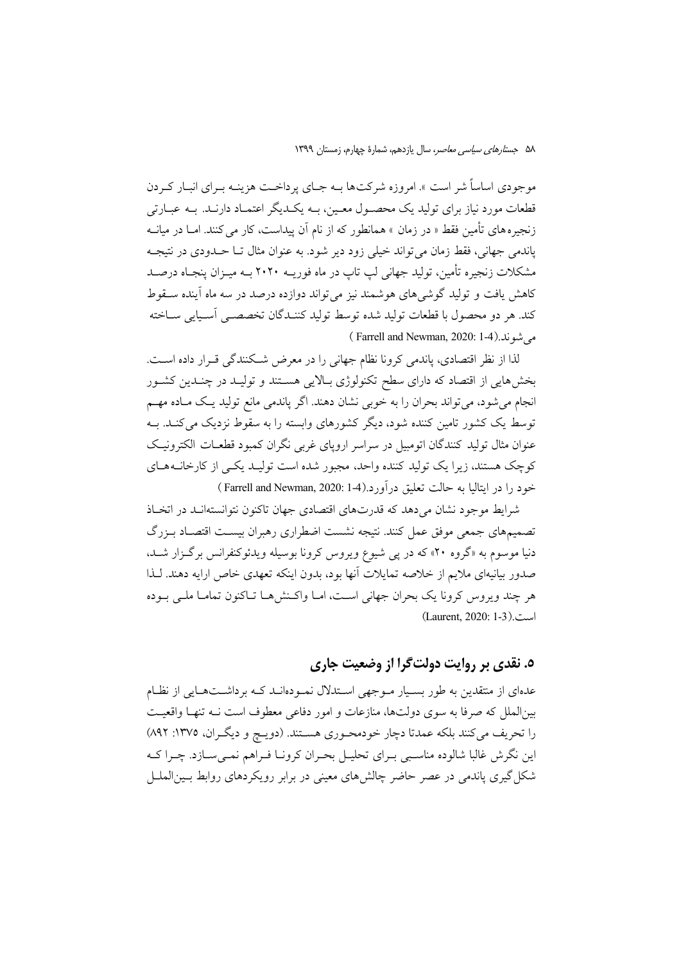موجودی اساساً شر است ». امروزه شرکتها بـه جـای پرداخــت هزینــه بــرای انبــار کــردن قطعات مورد نیاز برای تولید یک محصـول معـین، بــه یکــدیگر اعتمــاد دارنــد. بــه عبــارتی زنجیرههای تأمین فقط « در زمان » همانطور که از نام آن پیداست، کار می کنند. امــا در میانــه یاندمی جهانی، فقط زمان می تواند خیلی زود دیر شود. به عنوان مثال تــا حــدودی در نتیجــه مشکلات زنجیره تأمین، تولید جهانی لپ تاپ در ماه فوریــه ۲۰۲۰ بــه میــزان پنجــاه درصــد کاهش یافت و تولید گوشی های هوشمند نیز می تواند دوازده درصد در سه ماه آینده سـقوط كند. هر دو محصول با قطعات توليد شده توسط توليد كننـدگان تخصصـي أسـيايي ســاخته می شوند.(Farrell and Newman, 2020: 1-4)

لذا از نظر اقتصادی، پاندمی کرونا نظام جهانی را در معرض شکنندگی قـرار داده اسـت. بخشهایی از اقتصاد که دارای سطح تکنولوژی بـالایی هسـتند و تولیـد در چنـدین کشـور انجام می شود، می تواند بحران را به خوبی نشان دهند. اگر پاندمی مانع تولید یـک مـاده مهـم توسط یک کشور تامین کننده شود، دیگر کشورهای وابسته را به سقوط نزدیک می کنـد. بــه عنوان مثال تولید کنندگان اتومبیل در سراسر اروپای غربی نگران کمبود قطعـات الکترونیـک کوچک هستند، زیرا یک تولید کننده واحد، مجبور شده است تولیـد یکـی از کارخانــههـای خود را در ايتاليا به حالت تعليق درآورد.(4-1 :Farrell and Newman, 2020)

شرایط موجود نشان می دهد که قدرتهای اقتصادی جهان تاکنون نتوانستهانـد در اتخـاذ تصميمهاي جمعي موفق عمل كنند. نتيجه نشست اضطراري رهبران بيسـت اقتصـاد بـزرگ دنیا موسوم به «گروه ۲۰» که در پی شیوع ویروس کرونا بوسیله ویدئوکنفرانس برگزار شـد، صدور بیانیهای ملایم از خلاصه تمایلات آنها بود، بدون اینکه تعهدی خاص ارایه دهند. لـذا هر چند ویروس کرونا یک بحران جهانی است، امـا واکـنش۵مـا تـاکنون تمامـا ملـی بـوده (Laurent, 2020: 1-3).

### ه. نقدي بر روايت دولت گرا از وضعيت جاري

عدمای از منتقدین به طور بسـیار مـوجهی اسـتدلال نمـودهانــد کـه برداشــتهـایی از نظـام بین|لملل که صرفا به سوی دولتها، منازعات و امور دفاعی معطوف است نــه تنهـا واقعیــت را تحريف مي كنند بلكه عمدتا دچار خودمحـوري هســتند. (دويـچ و ديگـران، ١٣٧٥: ٨٩٢) این نگرش غالبا شالوده مناسبی بـرای تحلیـل بحـران کرونـا فـراهم نمـیسـازد. چـرا کـه شکل گیری یاندمی در عصر حاضر چالشهای معینی در برابر رویکردهای روابط بسینالملسل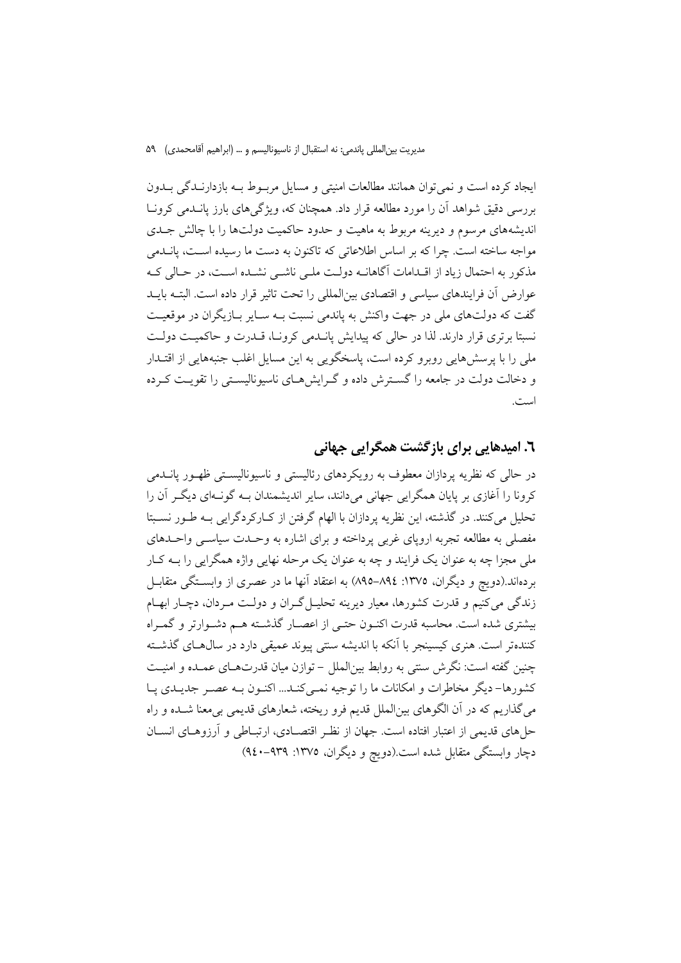ایجاد کرده است و نمی توان همانند مطالعات امنیتی و مسایل مربوط بـه بازدارنـدگی بـدون بررسی دقیق شواهد اَن را مورد مطالعه قرار داد. همچنان که، ویژگی های بارز پانسدمی کرونیا اندیشههای مرسوم و دیرینه مربوط به ماهیت و حدود حاکمیت دولتها را با چالش جـدی مواجه ساخته است. چرا که بر اساس اطلاعاتی که تاکنون به دست ما رسیده اسـت، یانــدمی مذکور به احتمال زیاد از اقــدامات آگاهانــه دولــت ملــی ناشــی نشــده اســت، در حــالی کــه عوارض أن فرايندهاي سياسي و اقتصادي بين|لمللي را تحت تاثير قرار داده است. البتــه بايــد گفت که دولتهای ملی در جهت واکنش به یاندمی نسبت بـه سـایر بـازیگران در موقعیـت نسبتا برتری قرار دارند. لذا در حالی که پیدایش پانسدمی کرونیا، قسدرت و حاکمیت دولت ملی را با پرسشهایی روبرو کرده است، پاسخگویی به این مسایل اغلب جنبههایی از اقتــدار و دخالت دولت در جامعه را گسترش داده و گـرایشهـای ناسیونالیسـتی را تقویـت کـرده است.

#### ٦. امیدهایی برای بازگشت همگرایی جهانی

در حالي كه نظريه يردازان معطوف به رويكردهاي رئاليستي و ناسبوناليستي ظهـور يانــدمي کرونا را آغازی پر پایان همگرایی جهانی می دانند، سایر اندیشمندان بـه گونـهای دیگـر آن را تحلیل میکنند. در گذشته، این نظریه پردازان با الهام گرفتن از کـارکردگرایی بـه طـور نسـبتا مفصلی به مطالعه تجربه اروپای غربی پرداخته و برای اشاره به وحـدت سیاسـی واحـدهای ملي مجزا چه به عنوان يک فرايند و چه به عنوان يک مرحله نهايي واژه همگرايي را بــه کــار بر دهاند.(دویچ و دیگران، ۱۳۷۵: ۸۹٤–۸۹۵) به اعتقاد آنها ما در عصری از وابســتگی متقابــل زندگی می کنیم و قدرت کشورها، معیار دیرینه تحلیـل گـران و دولـت مـردان، دچـار ابهـام بیشتری شده است. محاسبه قدرت اکنـون حتـی از اعصـار گذشـته هـم دشـوارتر و گمـراه کنندهتر است. هنری کیسینجر با اَنکه با اندیشه سنتی پیوند عمیقی دارد در سال هـای گذشـته چنین گفته است: نگرش سنتی به روابط بینالملل – توازن میان قدرتهـای عمـده و امنیـت کشورها– دیگر مخاطرات و امکانات ما را توجیه نمبی کنــد... اکنــون بــه عصــر جدیــدی یــا می گذاریم که در آن الگوهای بینالملل قدیم فرو ریخته، شعارهای قدیمی بی معنا شــده و راه حلهای قدیمی از اعتبار افتاده است. جهان از نظـر اقتصـادی، ارتبــاطی و آرزوهــای انســان دچار وابستگی متقابل شده است.(دویچ و دیگران، ۱۳۷۵: ۹۴۹-۹٤۰)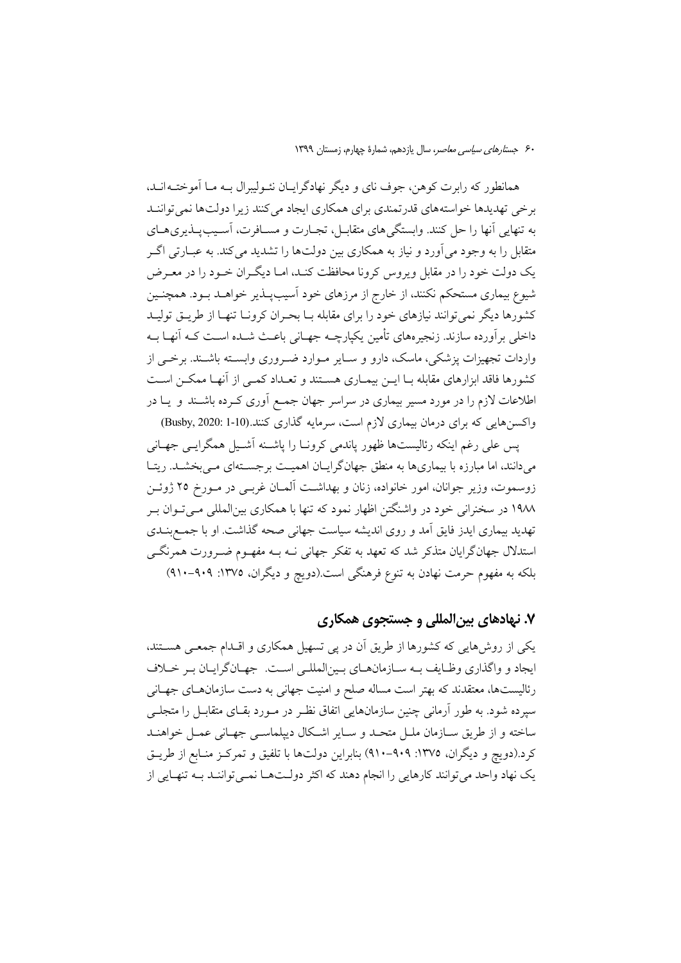همانطور که رابرت کوهن، جوف نای و دیگر نهادگرایـان نئـولیبرال بـه مـا آموختـهانـد، بر خی تهدیدها خواستههای قدرتمندی برای همکاری ایجاد می کنند زیرا دولتها نمی تواننـد به تنهایی آنها را حل کنند. وابستگی های متقابـل، تجـارت و مســافرت، آسـيب يــذيری هــای متقابل را به وجود می آورد و نیاز به همکاری بین دولتها را تشدید می کند. به عبــارتی اگــر یک دولت خود را در مقابل ویروس کرونا محافظت کنـد، امـا دیگـران خـود را در معـرض شیوع بیماری مستحکم نکنند، از خارج از مرزهای خود آسیبپـذیر خواهـد بـود. همچنـین کشورها دیگر نمی توانند نیازهای خود را برای مقابله بـا بحـران کرونــا تنهــا از طریــق تولیــد داخلی بر آورده سازند. زنجیرههای تأمین یکیارچــه جهــانی باعــث شــده اســت کــه آنهــا بــه واردات تجهیزات پزشکی، ماسک، دارو و سـایر مـوارد ضـروری وابسـته باشـند. برخـی از کشورها فاقد ابزارهای مقابله بـا ایــن بیمــاری هســتند و تعــداد کمــی از آنهـا ممکــن اســت اطلاعات لازم را در مورد مسیر بیماری در سراسر جهان جمع آوری کـرده باشـند و یـا در واکسن هایی که برای درمان بیماری لازم است، سرمایه گذاری کنند.(Busby, 2020: 1-10)

یس علی رغم اینکه رئالیستها ظهور یاندمی کرونـا را یاشـنه آشـیل همگرایـی جهـانی میدانند، اما مبارزه با بیماریها به منطق جهانگرایـان اهمیـت برجسـتهای مـیبخشــد. ریتـا زوسموت، وزیر جوانان، امور خانواده، زنان و بهداشت آلمـان غربـی در مـورخ ۲۵ ژوئـن ۱۹۸۸ در سخنرانی خود در واشنگتن اظهار نمود که تنها با همکاری بینالمللی مـی تـوان بـر تهدید بیماری ایدز فایق آمد و روی اندیشه سیاست جهانی صحه گذاشت. او با جمـع بنــدی استدلال جهانگرایان متذکر شد که تعهد به تفکر جهانی نــه بــه مفهــوم ضــرورت همرنگــی بلکه به مفهوم حرمت نهادن به تنوع فرهنگی است.(دویچ و دیگران، ۱۳۷۵: ۹۰۹-۹۱۰)

### ۷. نهادهای بین المللی و جستجوی همکاری

یکی از روش هایی که کشورها از طریق آن در پی تسهیل همکاری و اقـدام جمعـی هسـتند، ايجاد و واگذاري وظـايف بــه ســازمانهــاي بــين|لمللــي اســت. جهــانگرايــان بـر خــلاف رئالیستها، معتقدند که بهتر است مساله صلح و امنیت جهانی به دست سازمان های جهـانی سیرده شود. به طور آرمانی چنین سازمانهایی اتفاق نظـر در مــورد بقــای متقابــل را متجلــی ساخته و از طریق سـازمان ملـل متحـد و سـایر اشـكال دیپلماسـی جهـانی عمـل خواهنـد کرد.(دویچ و دیگران، ۱۳۷۵: ۹۰۹–۹۱۰) بنابراین دولتها با تلفیق و تمرکز منـابع از طریـق یک نهاد واحد می توانند کارهایی را انجام دهند که اکثر دولتها نمی تواننـد بـه تنهـایی از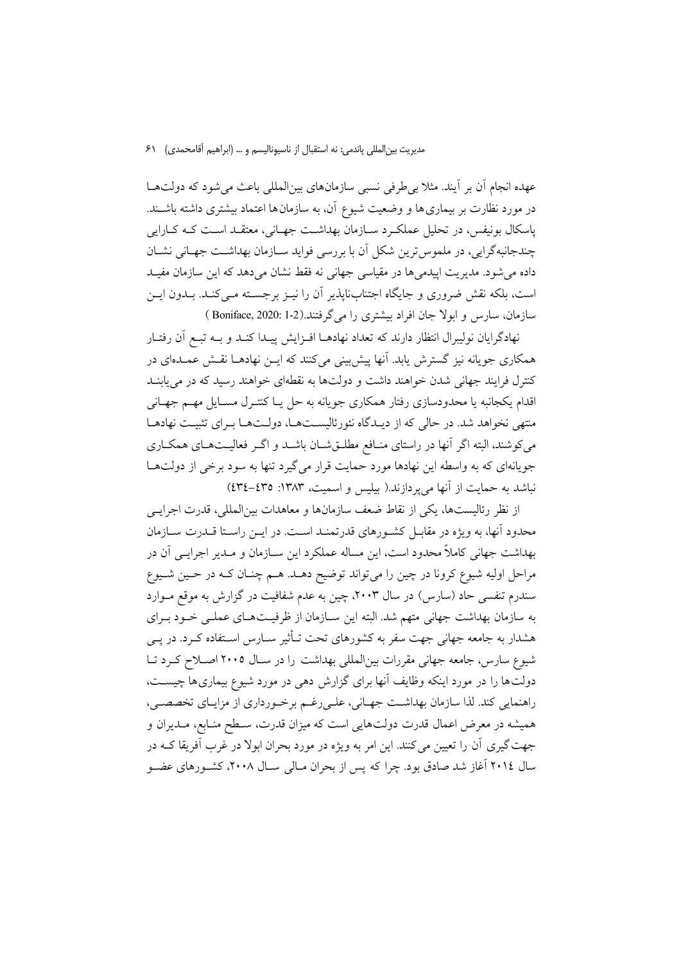مديريت بين|لمللي ياندمي: نه استقبال از ناسيوناليسم و … (ابراهيم آقامحمدي) ۶۱

عهده انجام آن بر آیند. مثلاً بی طرفی نسبی سازمانهای بینالمللی باعث می شود که دولتها در مورد نظارت بر بیماری ها و وضعیت شیوع آن، به سازمان ها اعتماد بیشتری داشته باشــند. پاسکال بونیفس، در تحلیل عملکرد سـازمان بهداشـت جهـانی، معتقـد اسـت کـه کـارایی چندجانبه گرايي، در ملموس ترين شكل آن با بررسي فوايد ســازمان بهداشــت جهــاني نشــان داده می شود. مدیریت اییدمی ها در مقیاسی جهانی نه فقط نشان می دهد که این سازمان مفیـد است، بلکه نقش ضروری و جایگاه اجتنابنایذیر آن را نیـز برجسـته مـی کنـد. بـدون ایـن سازمان، سارس و ابولا جان افراد بیشتری را می گرفتند.(2-1 :Boniface, 2020

نهادگرایان نولیبرال انتظار دارند که تعداد نهادهــا افــزایش پیــدا کنــد و بــه تبــع آن رفتــار همکاری جویانه نیز گسترش یابد. آنها پیش بینی می کنند که ایــن نهادهــا نقــش عمــدهای در کنترل فرایند جهانی شدن خواهند داشت و دولتها به نقطهای خواهند رسید که در می پابنـد اقدام یکجانبه یا محدودسازی رفتار همکاری جویانه به حل یـا کنتـرل مسـایل مهـم جهـانی منتهی نخواهد شد. در حالی که از دیـدگاه نئورئالیسـتهـا، دولـتهـا بـرای تثبیـت نهادهـا می کوشند، البته اگر آنها در راستای منافع مطلـقشـان باشـد و اگـر فعالیـتهـای همکـاری جویانهای که به واسطه این نهادها مورد حمایت قرار میگیرد تنها به سود برخی از دولتها نباشد به حمایت از آنها می یردازند.( بیلیس و اسمیت، ۱۳۸۳: ٤٣٥-٤٣٤)

از نظر رئالیستها، یکی از نقاط ضعف سازمانها و معاهدات بین|لمللی، قدرت اجرایـی محدود آنها، به ویژه در مقابـل کشـورهای قدرتمنـد اسـت. در ایـن راسـتا قـدرت سـازمان بهداشت جهانی کاملاً محدود است، این مساله عملکرد این ســازمان و مــدیر اجرایــی آن در مراحل اولیه شیوع کرونا در چین را میتواند توضیح دهـد. هـم چنـان کـه در حـین شـیوع سندرم تنفسی حاد (سارس) در سال ۲۰۰۳، چین به عدم شفافیت در گزارش به موقع مـوارد به سازمان بهداشت جهانی متهم شد. البته این سـازمان از ظرفیـتهـای عملـی خـود بـرای هشدار به جامعه جهانی جهت سفر به کشورهای تحت تـأثیر ســارس اســتفاده کــرد. در پــی شیوع سارس، جامعه جهانی مقررات بینالمللی بهداشت را در سـال ۲۰۰۵ اصـلاح کـرد تـا دولتها را در مورد اینکه وظایف آنها برای گزارش دهی در مورد شیوع بیماری ها چیست، راهنمایی کند. لذا سازمان بهداشت جهـانی، علـیرغـم برخـورداری از مزایـای تخصصـی، همیشه در معرض اعمال قدرت دولتهایی است که میزان قدرت، سـطح منـابع، مـدیران و جهت گیری آن را تعیین می کنند. این امر به ویژه در مورد بحران ابولا در غرب آفریقا کــه در سال ۲۰۱٤ آغاز شد صادق بود. چرا که پس از بحران مـالی سـال ۲۰۰۸، کشـورهای عضـو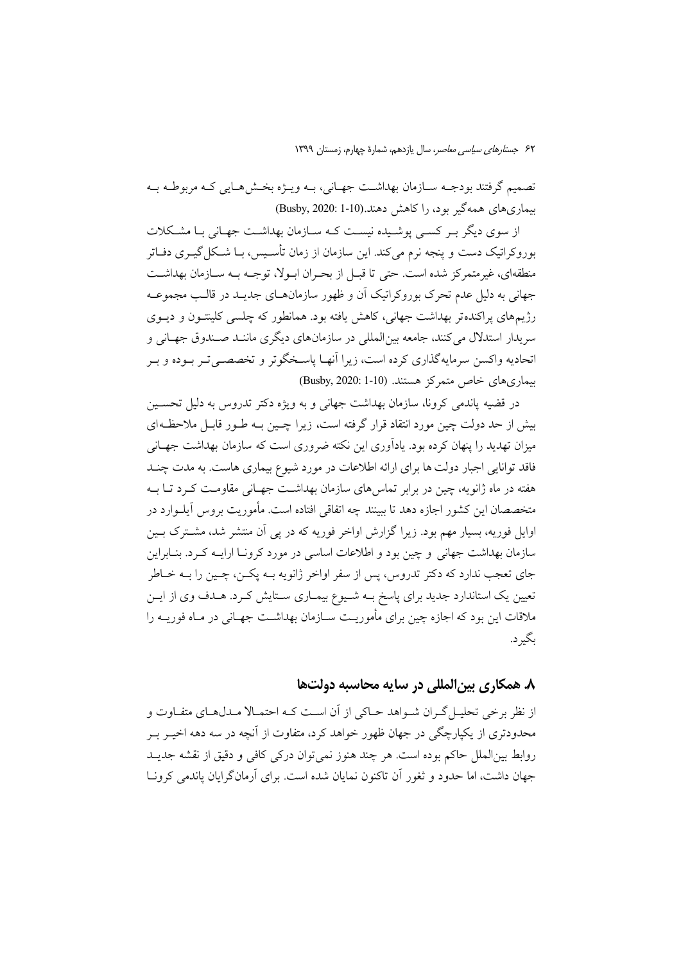تصميم گرفتند بودجـه ســازمان بهداشــت جهــاني، بــه ويـــژه بخــش٨هــايي كــه مربوطــه بــه بیماریهای همهگیر بود، را کاهش دهند.(1-11) Busby, 2020:

از سوی دیگر یہ کسے پوشیدہ نیست کیه سیازمان بھداشت جھانی با مشکلات بوروکراتیک دست و پنجه نرم می کند. این سازمان از زمان تأسـیس، بــا شــکل گیــری دفــاتر منطقهاي، غيرمتمركز شده است. حتى تا قبــل از بحـران ابــولا، توجــه بــه ســازمان بهداشــت جهانی به دلیل عدم تحرک بوروکراتیک آن و ظهور سازمانهـای جدیـد در قالـب مجموعـه رژیمهای پراکندهتر بهداشت جهانی، کاهش یافته بود. همانطور که چلسی کلینتـون و دیــوی سريدار استدلال مي كنند، جامعه بين|لمللي در سازمانهاي ديگري ماننـد صـندوق جهــاني و اتحادیه واکسن سرمایهگذاری کرده است، زیرا آنهـا پاسـخگوتر و تخصصـی تـر بـوده و بـر بیماری های خاص متمرکز هستند. (Busby, 2020: 1-10)

در قضیه یاندمی کرونا، سازمان بهداشت جهانی و به ویژه دکتر تدروس به دلیل تحسـین بیش از حد دولت چین مورد انتقاد قرار گرفته است، زیرا چـین بــه طــور قابــل ملاحظــهای میزان تهدید را پنهان کرده بود. یادآوری این نکته ضروری است که سازمان بهداشت جهـانی فاقد توانایی اجبار دولت ها برای ارائه اطلاعات در مورد شیوع بیماری هاست. به مدت چنـد هفته در ماه ژانویه، چین در برابر تماس های سازمان بهداشت جهـانی مقاومـت کـرد تـا بـه متخصصان این کشور اجازه دهد تا ببینند چه اتفاقی افتاده است. مأموریت بروس آپلــوارد در اوایل فوریه، بسیار مهم بود. زیرا گزارش اواخر فوریه که در پی آن منتشر شد، مشترک بـین سازمان بهداشت جهانی و چین بود و اطلاعات اساسی در مورد کرونـا ارایــه کــرد. بنــابراین جاي تعجب ندارد كه دكتر تدروس، پس از سفر اواخر ژانويه بــه پكــن، چــين را بــه خــاطر تعیین یک استاندارد جدید برای پاسخ بـه شـیوع بیمـاری سـتایش کـرد. هـدف وی از ایــن ملاقات این بود که اجازه چین برای مأموریـت ســازمان بهداشــت جهــانی در مــاه فوریــه را بگيرد.

#### ۸. همکاری بین|لمللی در سایه محاسبه دولتها

از نظر برخی تحلیـل گـران شـواهد حـاکی از آن اسـت کـه احتمـالا مـدلهـای متفـاوت و محدودتری از یکپارچگی در جهان ظهور خواهد کرد، متفاوت از آنچه در سه دهه اخب ب روابط بين|لملل حاكم بوده است. هر چند هنوز نمي توان دركي كافي و دقيق از نقشه جديـد جهان داشت، اما حدود و ثغور آن تاکنون نمایان شده است. برای آرمان گرایان یاندمی کرونــا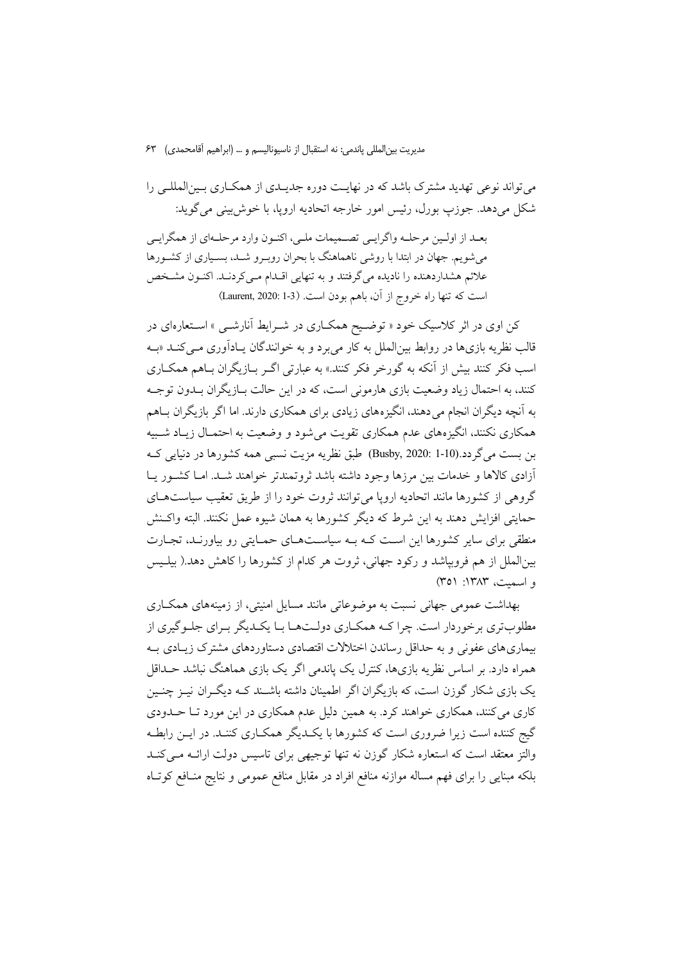مديريت بين|لمللي ياندمي: نه استقبال از ناسيوناليسم و … (ابراهيم آقامحمدي)  $\mathcal{F}^{\mathbf{w}}$ 

می تواند نوعی تهدید مشترک باشد که در نهایت دوره جدیـدی از همکــاری بـینالمللــی را شکل مي دهد. جوزپ بورل، رئيس امور خارجه اتحاديه اروپا، با خوش بيني مي گويد:

بعـد از اولـين مرحلـه واگرايـي تصـميمات ملـي، اكنـون وارد مرحلـهاي از همگرايـي میشویم. جهان در ابتدا با روشی ناهماهنگ با بحران روبـرو شـد، بسـیاری از کشـورها علائم هشداردهنده را نادیده میگرفتند و به تنهایی اقـدام مـیکردنـد. اکنـون مشـخص است كه تنها راه خروج از آن، باهم بودن است. (Laurent, 2020: 1-3)

کن اوی در اثر کلاسیک خود « توضیح همکـاری در شــرایط آنارشــی » اســتعارهای در قالب نظریه بازیها در روابط بینالملل به کار می برد و به خوانندگان پـادآوری مــیکنــد «بــه اسب فکر کنند بیش از آنکه به گورخر فکر کنند.» به عبارتی اگـر بــازیگران بــاهم همکــاری کنند، به احتمال زیاد وضعیت بازی هارمونی است، که در این حالت بـازیگران بــدون توجــه به آنچه دیگران انجام می دهند، انگیزههای زیادی برای همکاری دارند. اما اگر بازیگران بـاهم همکاری نکنند، انگیزههای عدم همکاری تقویت می شود و وضعیت به احتمـال زیـاد شـبیه بن بست میگردد.(Busby, 2020: 1-10) طبق نظریه مزیت نسبی همه کشورها در دنیایی ک آزادی کالاها و خدمات بین مرزها وجود داشته باشد ثروتمندتر خواهند شـد. امـا کشـور یـا گروهی از کشورها مانند اتحادیه اروپا می توانند ثروت خود را از طریق تعقیب سیاستهـای حمایتی افزایش دهند به این شرط که دیگر کشورها به همان شیوه عمل نکنند. البته واکـنش منطقی برای سایر کشورها این است کـه بـه سیاسـتهـای حمـایتی رو بیاورنـد، تجـارت بینالملل از هم فروبپاشد و رکود جهانی، ثروت هر کدام از کشورها را کاهش دهد.( بیلـیس و اسمت، ۱۳۸۳: ۳۵۱)

بهداشت عمومی جهانی نسبت به موضوعاتی مانند مسایل امنیتی، از زمینههای همکاری مطلوبتری برخوردار است. چرا کـه همکـاري دولـتهـا بـا يکـديگر بـراي جلـوگيري از بیماری های عفونی و به حداقل رساندن اختلالات اقتصادی دستاوردهای مشترک زیـادی بـه همراه دارد. بر اساس نظریه بازیها، کنترل یک پاندمی اگر یک بازی هماهنگ نباشد حــداقل یک بازی شکار گوزن است، که بازیگران اگر اطمینان داشته باشـند کـه دیگـران نیـز چنـین کاری می کنند، همکاری خواهند کرد. به همین دلیل عدم همکاری در این مورد تـا حــدودی گیج کننده است زیرا ضروری است که کشورها با یک دیگر همکـاری کننـد. در ایــن رابطـه والتز معتقد است که استعاره شکار گوزن نه تنها توجیهی برای تاسیس دولت ارائـه مـیکنـد بلکه مبنایی را برای فهم مساله موازنه منافع افراد در مقابل منافع عمومی و نتایج منـافع کوتـاه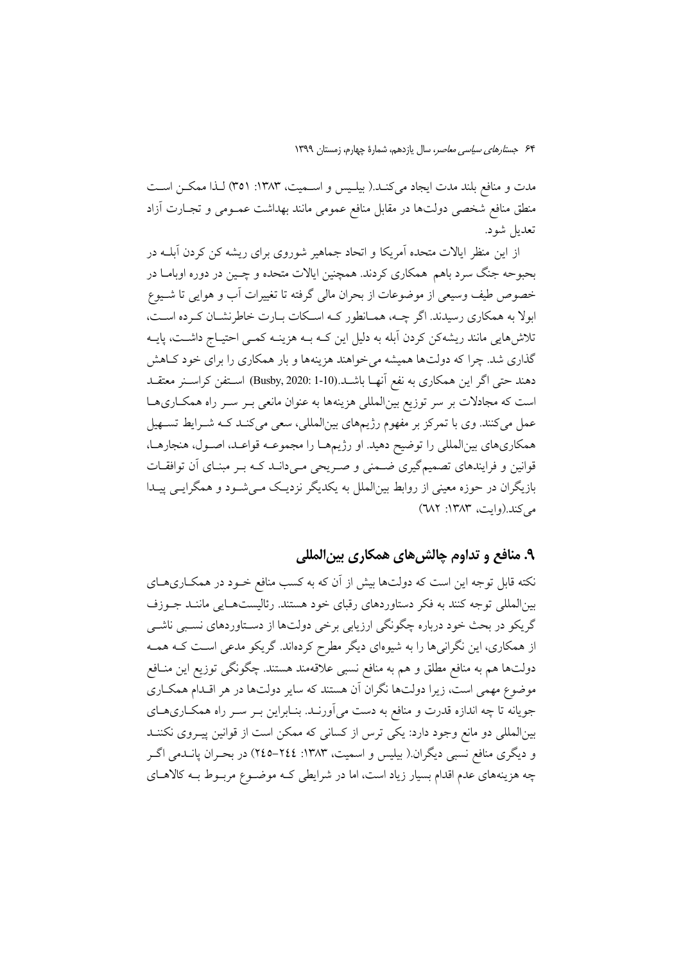مدت و منافع بلند مدت ایجاد میکند.( بیلـیس و اســمیت، ۱۳۸۳: ۳۵۱) لـذا ممکــن اســت منطق منافع شخصی دولتها در مقابل منافع عمومی مانند بهداشت عمــومی و تجــارت آزاد تعديل شود.

از این منظر ایالات متحده آمریکا و اتحاد جماهیر شوروی برای ریشه کن کردن آبلــه در بحبوحه جنگ سرد باهم همکاری کردند. همچنین ایالات متحده و چـین در دوره اوبامـا در خصوص طيف وسيعي از موضوعات از بحران مالي گرفته تا تغييرات آب و هوايي تا شـيوع ابولا به همکاری رسیدند. اگر چــه، همـانطور کـه اسـکات بـارت خاطرنشـان کـرده اسـت، تلاش هایی مانند ریشهکن کردن آبله به دلیل این کـه بـه هزینــه کمــی احتیــاج داشــت، پایــه گذاری شد. چرا که دولتها همیشه می خواهند هزینهها و بار همکاری را برای خود کـاهش دهند حتى اگر اين همكاري به نفع آنهــا باشــد.(10-1 :Busby, 2020) اســتفن كراســنر معتقــد است که مجادلات بر سر توزیع بینالمللی هزینهها به عنوان مانعی بـر سـر راه همکـاریهـا عمل میکنند. وی با تمرکز بر مفهوم رژیمهای بینالمللی، سعی میکنـد کـه شـرایط تسـهیل همکاریهای بینالمللی را توضیح دهید. او رژیمهـا را مجموعـه قواعـد، اصـول، هنجارهـا، قوانین و فرایندهای تصمیمگیری ضـمنی و صـریحی مـیدانــد کــه بــر مبنــای آن توافقــات بازیگران در حوزه معینی از روابط بینالملل به یکدیگر نزدیک می شود و همگرایسی پیدا می کند.(وایت، ۱۳۸۳: ۷۸۲)

#### ۹. منافع و تداوم چالش های همکاری بین المللی

نکته قابل توجه این است که دولتها بیش از آن که به کسب منافع خـود در همکـاریهـای بین|لمللی توجه کنند به فکر دستاوردهای رقبای خود هستند. رئالیستهـایی ماننـد جـوزف گريکو در بحث خود درباره چگونگي ارزيابي برخي دولتها از دسـتاوردهاي نسـبي ناشــي از همکاری، این نگرانیها را به شیوهای دیگر مطرح کردهاند. گریکو مدعی است کـه همـه دولتها هم به منافع مطلق و هم به منافع نسبي علاقهمند هستند. چگونگي توزيع اين منــافع موضوع مهمی است، زیرا دولتها نگران آن هستند که سایر دولتها در هر اقـدام همکـاری جویانه تا چه اندازه قدرت و منافع به دست میآورنـد. بنـابراین بـر سـر راه همکـاریهـای بینالمللی دو مانع وجود دارد: یکی ترس از کسانی که ممکن است از قوانین پیـروی نکننــد و دیگری منافع نسبی دیگران.( بیلیس و اسمیت، ۱۳۸۳: ۲٤٤–۲٤٥) در بحـران پانــدمی اگــر چه هزینههای عدم اقدام بسیار زیاد است، اما در شرایطی کـه موضـوع مربـوط بـه کالاهـای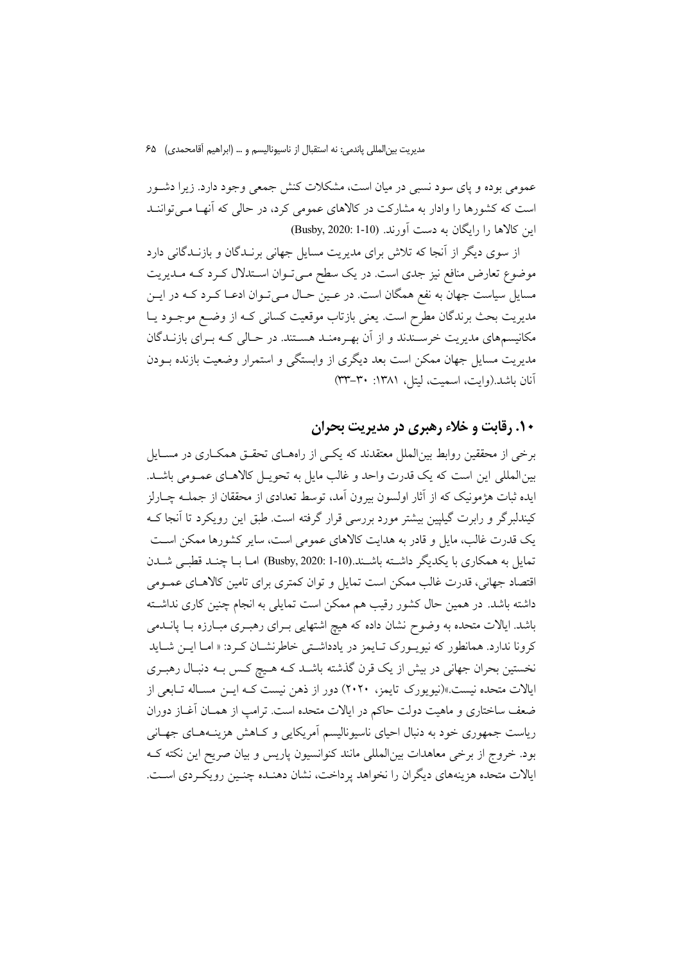مديريت بين|لمللي ياندمي: نه استقبال از ناسيوناليسم و … (ابراهيم آقامحمدي) ۶۵

عمومی بوده و پای سود نسبی در میان است، مشکلات کنش جمعی وجود دارد. زیرا دشـور است که کشورها را وادار به مشارکت در کالاهای عمومی کرد، در حالی که آنها مـی تواننـد این کالاها را رایگان به دست آورند. (10-1 :Busby, 2020)

از سوی دیگر از آنجا که تلاش برای مدیریت مسایل جهانی برنــدگان و بازنــدگانی دارد موضوع تعارض منافع نیز جدی است. در یک سطح مـیتوان اسـتدلال کـرد کـه مـدیریت مسایل سیاست جهان به نفع همگان است. در عـین حـال مـیتوان ادعـا کـرد کـه در ایـن مدیریت بحث برندگان مطرح است. یعنی بازتاب موقعیت کسانی کـه از وضـع موجـود یـا مکانیسمهای مدیریت خرسـندند و از آن بهـرهمنـد هسـتند. در حـالی کـه بـرای بازنــدگان مدیریت مسایل جهان ممکن است بعد دیگری از وابستگی و استمرار وضعیت بازنده بــودن آنان باشد.(وايت، اسميت، ليتل، ١٣٨١: ٣٣-٣٣)

### ۱۰. رقابت و خلاء رهبری در مدیریت بحران

برخی از محققین روابط بین|لملل معتقدند که یکسی از راههـای تحقـق همکـاری در مســایل بین المللی این است که یک قدرت واحد و غالب مایل به تحویـل کالاهـای عمـومی باشـد. ايده ثبات هژمونيک که از آثار اولسون بيرون اَمد، توسط تعدادي از محققان از جملــه چــارلز کیندلبرگر و رابرت گیلپین بیشتر مورد بررسی قرار گرفته است. طبق این رویکرد تا آنجا ک یک قدرت غالب، مایل و قادر به هدایت کالاهای عمومی است، سایر کشورها ممکن است تمایل به همکاری با یکدیگر داشته باشـند.(10-1 :Busby, 2020) امـا بـا چنـد قطبـی شــدن اقتصاد جهانی، قدرت غالب ممکن است تمایل و توان کمتری برای تامین کالاهـای عمـومی داشته باشد. در همین حال کشور رقیب هم ممکن است تمایلی به انجام چنین کاری نداشـته باشد. ایالات متحده به وضوح نشان داده که هیچ اشتهایی بـرای رهبـری مبـارزه بـا پانــدمی کرونا ندارد. همانطور که نیویـورک تـایمز در یادداشـتی خاطرنشـان کـرد: « امـا ایــن شــاید نخستین بحران جهانی در بیش از یک قرن گذشته باشـد کـه هـیچ کـس بـه دنبـال رهبـری ایالات متحده نیست.»(نیویورک تایمز، ۲۰۲۰) دور از ذهن نیست کـه ایــن مسـاله تـابعی از ضعف ساختاری و ماهیت دولت حاکم در ایالات متحده است. ترامپ از همـان آغــاز دوران ریاست جمهوری خود به دنبال احیای ناسیونالیسم آمریکایی و کـاهش هزینـههـای جهـانی بود. خروج از برخی معاهدات بینالمللی مانند کنوانسیون پاریس و بیان صریح این نکته ک ايالات متحده هزينههاي ديگران را نخواهد يرداخت، نشان دهنـده چنـين رويكـردي اسـت.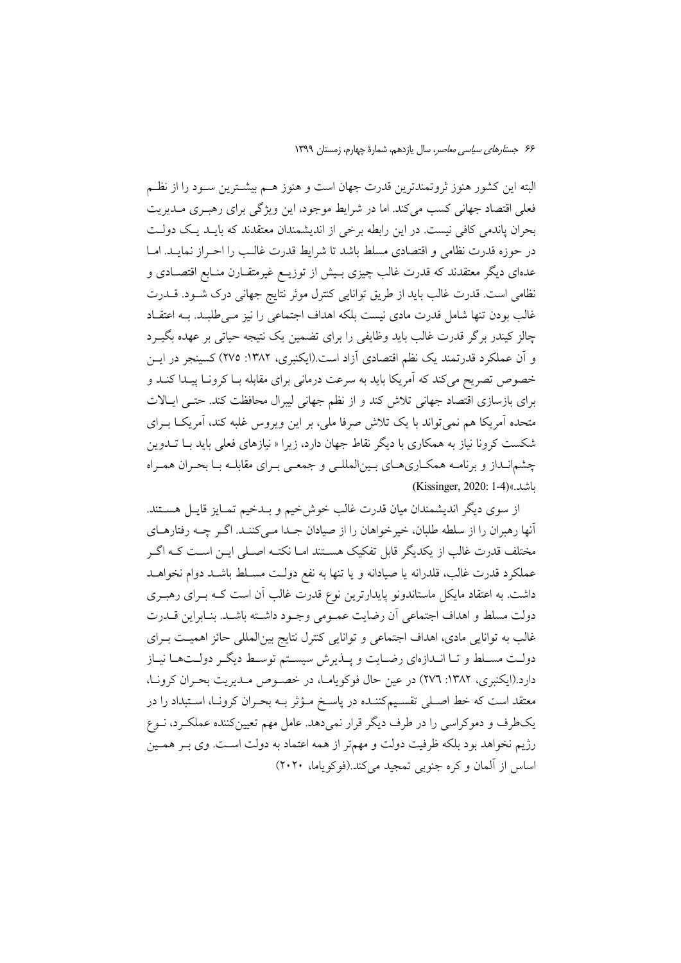البته این کشور هنوز ثروتمندترین قدرت جهان است و هنوز هـم بیشـترین سـود را از نظـم فعلی اقتصاد جهانی کسب می کند. اما در شرایط موجود، این ویژگی برای رهب ی مـدیریت بحران پاندمی کافی نیست. در این رابطه برخی از اندیشمندان معتقدند که بایــد یــک دولــت در حوزه قدرت نظامى و اقتصادى مسلط باشد تا شرايط قدرت غالـب را احـراز نمايــد. امــا عدهای دیگر معتقدند که قدرت غالب چیزی بـیش از توزیـع غیرمتقــارن منــابع اقتصــادی و نظامی است. قدرت غالب باید از طریق توانایی کنترل موثر نتایج جهانی درک شـود. قــدرت غالب بودن تنها شامل قدرت مادى نيست بلكه اهداف اجتماعى را نيز مـىطلبـد. بــه اعتقـاد چالز کیندر برگر قدرت غالب باید وظایفی را برای تضمین یک نتیجه حیاتی بر عهده بگیـرد و آن عملکرد قدرتمند یک نظم اقتصادی آزاد است.(ایکنبری، ۱۳۸۲: ۲۷۵) کسینجر در ایــن خصوص تصریح میکند که آمریکا باید به سرعت درمانی برای مقابله بـا کرونـا پیـدا کنـد و برای بازسازی اقتصاد جهانی تلاش کند و از نظم جهانی لیبرال محافظت کند. حتـی ایـالات متحده آمریکا هم نمیتواند با یک تلاش صرفا ملی، بر این ویروس غلبه کند، آمریکـا بــرای شکست کرونا نیاز به همکاری با دیگر نقاط جهان دارد، زیرا « نیازهای فعلی باید بــا تــدوین چشمانـداز و برنامـه همكـارىهـاى بـينالمللـى و جمعـى بـراى مقابلـه بـا بحـران همـراه (Kissinger, 2020: 1-4)(اشد.)

از سوی دیگر اندیشمندان میان قدرت غالب خوش خیم و بـدخیم تمـایز قایـل هسـتند. آنها رهبران را از سلطه طلبان، خیرخواهان را از صیادان جـدا مـیکننـد. اگـر چـه رفتارهـای مختلف قدرت غالب از یکدیگر قابل تفکیک هسـتند امـا نکتـه اصـلی ایـن اسـت کـه اگـر عملكرد قدرت غالب، قلدرانه يا صيادانه و يا تنها به نفع دولـت مسـلط باشـد دوام نخواهـد داشت. به اعتقاد مایکل ماستاندونو پایدارترین نوع قدرت غالب آن است کـه بــرای رهبــری دولت مسلط و اهداف اجتماعي أن رضايت عمـومي وجـود داشـته باشـد. بنـابراين قــدرت غالب به توانایی مادی، اهداف اجتماعی و توانایی کنترل نتایج بینالمللی حائز اهمیـت بــرای دولت مسلط و تـا انـدازهاي رضـايت و پـذيرش سيسـتم توسـط ديگـر دولـتهـا نيـاز دارد.(ایکنبری، ۱۳۸۲: ۲۷٦) در عین حال فوکویاما، در خصوص مـدیریت بحـران کرونـا، معتقد است که خط اصـلی تقسـیمکننـده در پاسـخ مـؤثر بــه بحـران کرونـا، اسـتبداد را در یکطرف و دموکراسی را در طرف دیگر قرار نمیدهد. عامل مهم تعیینکننده عملکرد، نـوع رژیم نخواهد بود بلکه ظرفیت دولت و مهمتر از همه اعتماد به دولت است. وی بـر همـین اساس از آلمان و کره جنوبی تمجید میکند.(فوکویاما، ۲۰۲۰)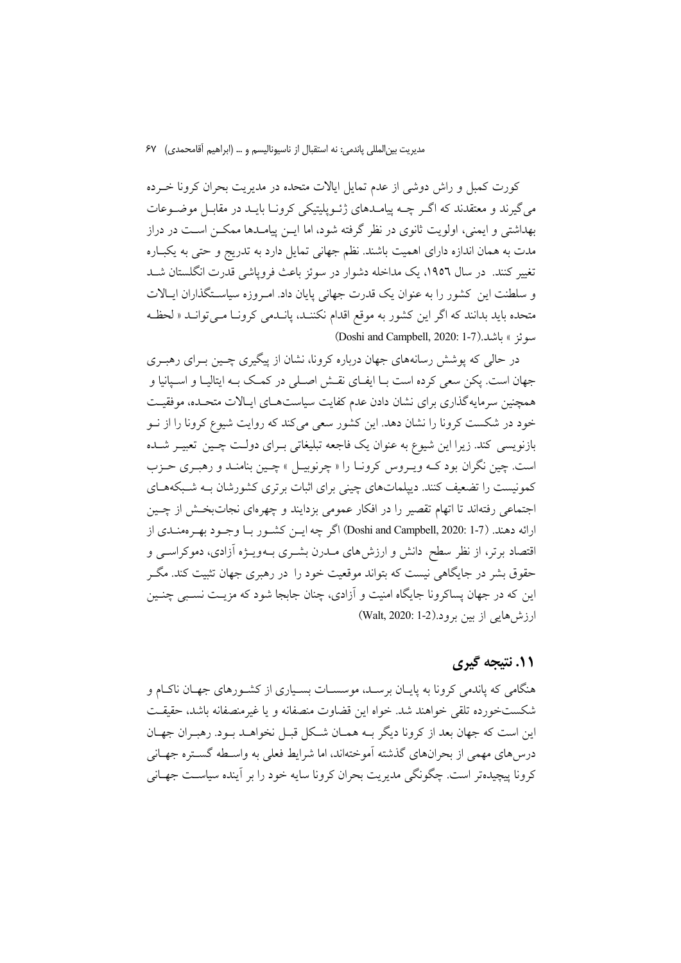مديريت بين|لمللي ياندمي: نه استقبال از ناسيوناليسم و … (ابراهيم آقامحمدي) ۶۷

کورت کمبل و راش دوشی از عدم تمایل ایالات متحده در مدیریت بحران کرونا خـرده می گیرند و معتقدند که اگـر چــه پیامــدهای ژئــویلیتیکی کرونــا بایــد در مقابــل موضــوعات بهداشتی و ایمنی، اولویت ثانوی در نظر گرفته شود، اما ایــن پیامــدها ممکــن اســت در دراز مدت به همان اندازه دارای اهمیت باشند. نظم جهانی تمایل دارد به تدریج و حتی به یکبـاره تغییر کنند. در سال ۱۹۵۲، یک مداخله دشوار در سوئز باعث فروپاشی قدرت انگلستان شـد و سلطنت این کشور را به عنوان یک قدرت جهانی پایان داد. امـروزه سیاسـتگذاران ایـالات متحده بايد بدانند كه اگر اين كشور به موقع اقدام نكننـد، يانـدمى كرونـا مـى توانـد « لحظـه سوئز » باشد.(1-7).Juni and Campbell, 2020: 1-7)

در حالی که پوشش رسانههای جهان درباره کرونا، نشان از پیگیری چسپن بـرای رهبـری جهان است. يكن سعى كرده است بـا ايفـاى نقــش اصــلى در كمـك بـه ايتاليـا و اسـيانيا و همچنین سرمایهگذاری برای نشان دادن عدم کفایت سیاستهای ایـالات متحـده، موفقیـت خود در شکست کرونا را نشان دهد. این کشور سعی میکند که روایت شیوع کرونا را از نــو بازنویسی کند. زیرا این شیوع به عنوان یک فاجعه تبلیغاتی بـرای دولـت چـین تعبیـر شـده است. چین نگران بود کـه ویـروس کرونـا را « چرنوبیـل » چـین بنامنـد و رهبـری حـزب کمونیست را تضعیف کنند. دیپلماتهای چینی برای اثبات برتری کشورشان بـه شـبکههـای اجتماعی رفتهاند تا اتهام تقصیر را در افکار عمومی بزدایند و چهرهای نجاتبخش از چـین ارائه دهند. (7-1 :Doshi and Campbell, 2020) اگر چه ايـن كشـور بـا وجـود بهـر ممنـدي از اقتصاد برتر، از نظر سطح دانش و ارزش۵های مــدرن بشــری بــهویــژه آزادی، دموکراســی و حقوق پشر در جایگاهی نسبت که بتواند موقعیت خود را در رهبری جهان تثبیت کند. مگ این که در جهان پساکرونا جایگاه امنیت و آزادی، چنان جایجا شود که مزیـت نسـبی چنـین  $(Walt, 2020: 1-2)$ ارزش هایی از بین برو د

### ۱۱. نتیجه گیری

هنگامی که یاندمی کرونا به پایـان برسـد، موسسـات بسـیاری از کشـورهای جهـان ناکـام و شکستخورده تلقی خواهند شد. خواه این قضاوت منصفانه و یا غیرمنصفانه باشد، حقیقت این است که جهان بعد از کرونا دیگر بـه همـان شـکل قبـل نخواهــد بـود. رهبـران جهـان درس های مهمی از بحرانهای گذشته آموختهاند. اما شرایط فعلی به واسـطه گســتره جهــانی کرونا پیچیدهتر است. چگونگی مدیریت بحران کرونا سایه خود را بر آینده سیاست جهـانی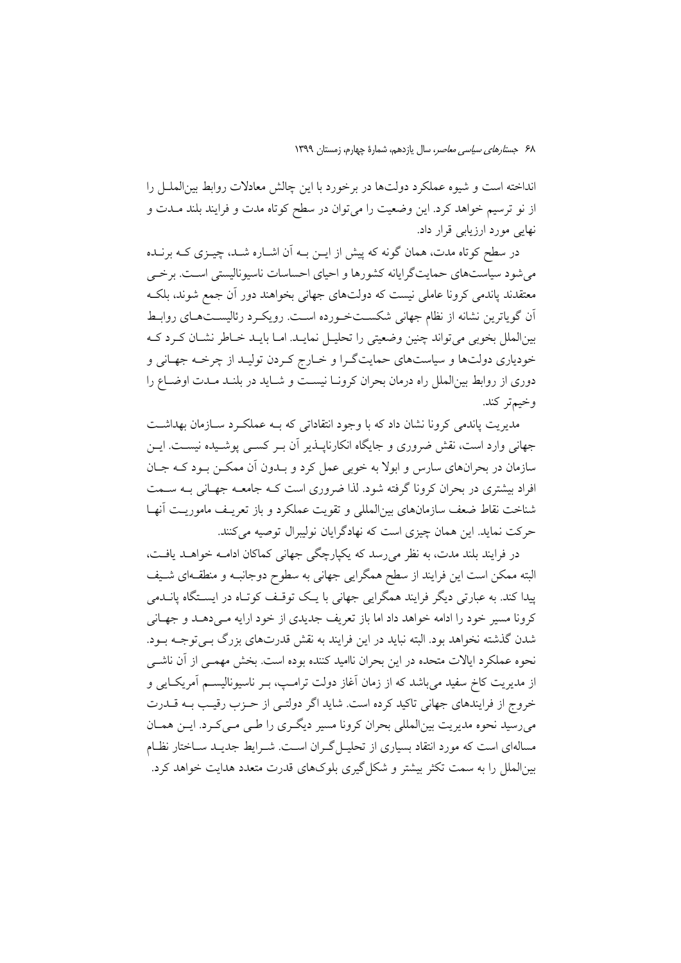انداخته است و شیوه عملکرد دولتها در برخورد با این چالش معادلات روابط بین|لملـل را از نو ترسیم خواهد کرد. این وضعیت را میتوان در سطح کوتاه مدت و فرایند بلند مـدت و نهایی مورد ارزیابی قرار داد.

در سطح کو تاه مدت، همان گونه که پیش از ایــن بــه آن اشــاره شــد، چیــزی کــه برنــده می شود سیاستهای حمایتگرایانه کشورها و احیای احساسات ناسیونالیستی اسـت. برخــی معتقدند یاندمی کرونا عاملی نیست که دولتهای جهانی بخواهند دور آن جمع شوند، بلک أن گوياترين نشانه از نظام جهاني شكستخورده است. رويكرد رئاليستهاي روابط بینالملل بخوبی میتواند چنین وضعیتی را تحلیـل نمایــد. امــا بایــد خــاطر نشــان کــرد کــه خودیاری دولتها و سیاستهای حمایتگرا و خـارج کـردن تولیـد از چرخـه جهـانی و دوری از روابط بین|لملل راه درمان بحران کرونـا نیسـت و شـاید در بلنـد مـدت اوضـاع را وخيمتر كند.

مدیریت پاندمی کرونا نشان داد که با وجود انتقاداتی که بـه عملکـرد سـازمان بهداشـت جهانی وارد است، نقش ضروری و جایگاه انکارناپــذیر آن بــر کســی پوشــیده نیســت. ایــن سازمان در بحرانهای سارس و ابولا به خوبی عمل کرد و بـدون آن ممکـن بـود کـه جـان افراد بیشتری در بحران کرونا گرفته شود. لذا ضروری است کـه جامعـه جهـانی بـه ســمت شناخت نقاط ضعف سازمانهای بین|لمللی و تقویت عملکرد و باز تعریـف ماموریـت آنهـا حركت نمايد. اين همان چيزي است كه نهادگرايان نوليبرال توصيه ميكنند.

در فرایند بلند مدت، به نظر می رسد که یکپارچگی جهانی کماکان ادامـه خواهــد یافـت، البته ممکن است این فرایند از سطح همگرایی جهانی به سطوح دوجانبـه و منطقـهای شـیف پیدا کند. به عبارتی دیگر فرایند همگرایی جهانی با یک توقـف کوتـاه در ایسـتگاه یانــدمی کرونا مسیر خود را ادامه خواهد داد اما باز تعریف جدیدی از خود ارایه مـیدهـد و جهـانی شدن گذشته نخواهد بود. البته نباید در این فرایند به نقش قدرتهای بزرگ بـی توجـه بـود. نحوه عملکرد ایالات متحده در این بحران ناامید کننده بوده است. بخش مهمـی از آن ناشـی از مدیریت کاخ سفید می باشد که از زمان آغاز دولت ترامـپ، بـر ناسیونالیســم آمریکــایی و خروج از فرایندهای جهانی تاکید کرده است. شاید اگر دولتـی از حـزب رقیـب بــه قــدرت میرسید نحوه مدیریت بینالمللی بحران کرونا مسیر دیگری را طـی مـیکرد. ایـن همـان مسالهای است که مورد انتقاد بسیاری از تحلیــل گــران اســت. شــرایط جدیــد ســاختار نظــام بینالملل را به سمت تکثر بیشتر و شکل گیری بلوکهای قدرت متعدد هدایت خواهد کرد.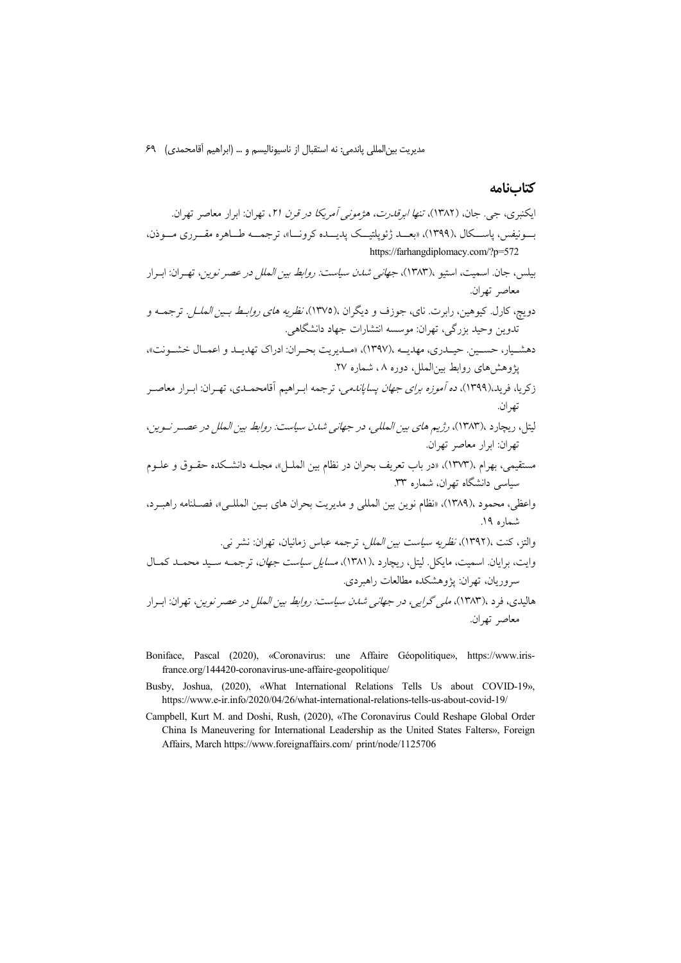مديريت بينالمللي پاندمي: نه استقبال از ناسيوناليسم و … (ابراهيم اَقامحمدي) ۶۹

#### كتابنامه

- Boniface, Pascal (2020), «Coronavirus: une Affaire Géopolitique», https://www.irisfrance.org/144420-coronavirus-une-affaire-geopolitique/
- Busby, Joshua, (2020), «What International Relations Tells Us about COVID-19», https://www.e-ir.info/2020/04/26/what-international-relations-tells-us-about-covid-19/
- Campbell, Kurt M. and Doshi, Rush, (2020), «The Coronavirus Could Reshape Global Order China Is Maneuvering for International Leadership as the United States Falters», Foreign Affairs, March https://www.foreignaffairs.com/ print/node/1125706